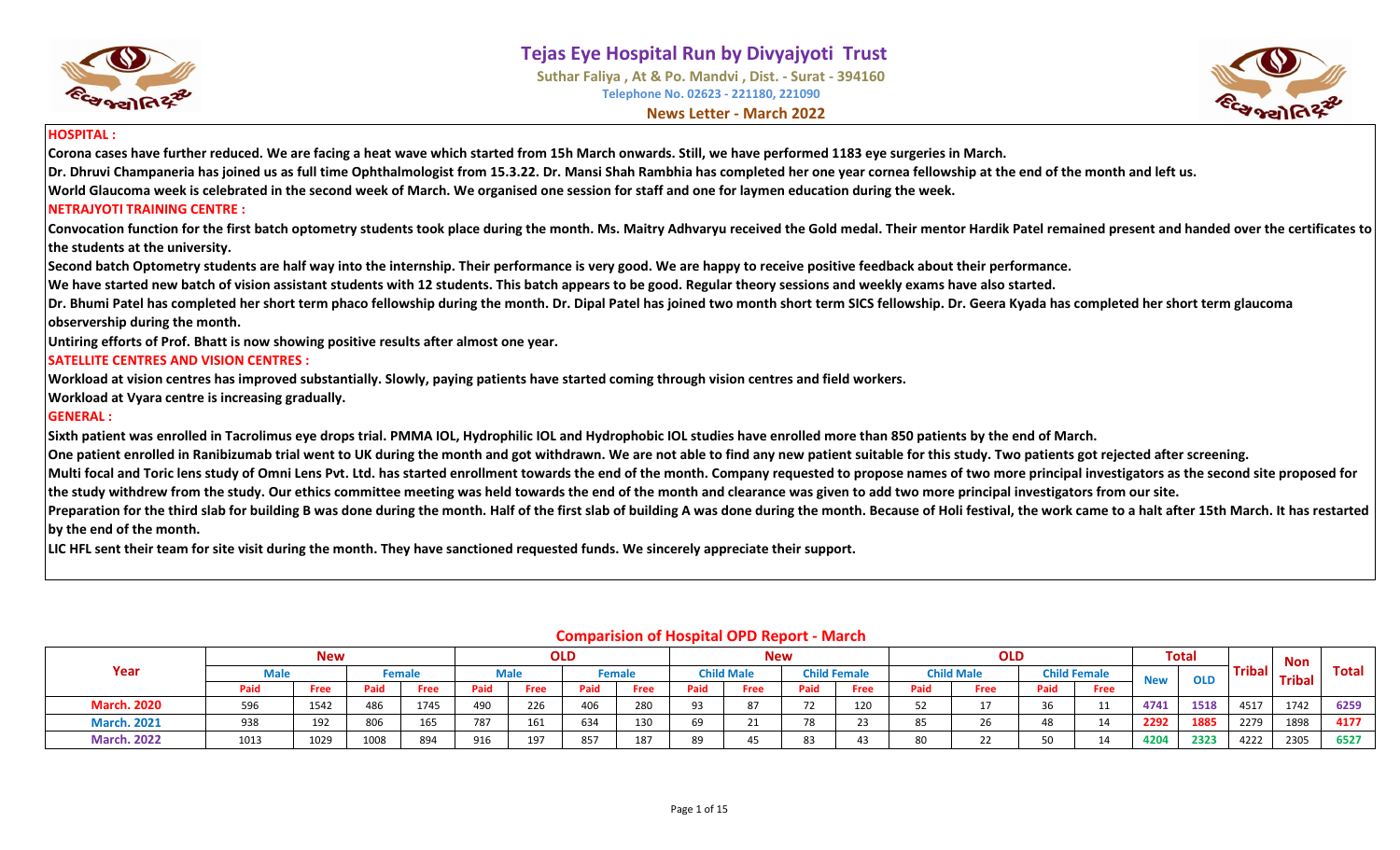

**Suthar Faliya , At & Po. Mandvi , Dist. - Surat - 394160 Telephone No. 02623 - 221180, 221090 News Letter - March 2022**



#### **HOSPITAL :**

**Corona cases have further reduced. We are facing a heat wave which started from 15h March onwards. Still, we have performed 1183 eye surgeries in March.**

**Dr. Dhruvi Champaneria has joined us as full time Ophthalmologist from 15.3.22. Dr. Mansi Shah Rambhia has completed her one year cornea fellowship at the end of the month and left us.**

**World Glaucoma week is celebrated in the second week of March. We organised one session for staff and one for laymen education during the week.**

#### **NETRAJYOTI TRAINING CENTRE :**

**Convocation function for the first batch optometry students took place during the month. Ms. Maitry Adhvaryu received the Gold medal. Their mentor Hardik Patel remained present and handed over the certificates to the students at the university.**

**Second batch Optometry students are half way into the internship. Their performance is very good. We are happy to receive positive feedback about their performance.**

**We have started new batch of vision assistant students with 12 students. This batch appears to be good. Regular theory sessions and weekly exams have also started.**

**Dr. Bhumi Patel has completed her short term phaco fellowship during the month. Dr. Dipal Patel has joined two month short term SICS fellowship. Dr. Geera Kyada has completed her short term glaucoma observership during the month.**

**Untiring efforts of Prof. Bhatt is now showing positive results after almost one year.**

#### **SATELLITE CENTRES AND VISION CENTRES :**

**Workload at vision centres has improved substantially. Slowly, paying patients have started coming through vision centres and field workers.**

**Workload at Vyara centre is increasing gradually.**

#### **GENERAL :**

**Sixth patient was enrolled in Tacrolimus eye drops trial. PMMA IOL, Hydrophilic IOL and Hydrophobic IOL studies have enrolled more than 850 patients by the end of March.**

**One patient enrolled in Ranibizumab trial went to UK during the month and got withdrawn. We are not able to find any new patient suitable for this study. Two patients got rejected after screening.**

**Multi focal and Toric lens study of Omni Lens Pvt. Ltd. has started enrollment towards the end of the month. Company requested to propose names of two more principal investigators as the second site proposed for the study withdrew from the study. Our ethics committee meeting was held towards the end of the month and clearance was given to add two more principal investigators from our site.** 

Preparation for the third slab for building B was done during the month. Half of the first slab of building A was done during the month. Because of Holi festival, the work came to a halt after 15th March. It has restarted **by the end of the month.** 

**LIC HFL sent their team for site visit during the month. They have sanctioned requested funds. We sincerely appreciate their support.**

|                    |      | <b>New</b> |      |        |      |      | OLD  |        |      |                               | <b>New</b> |                     |      | <b>OLD</b>        |      |                     |            | <b>Total</b> |               | Non           |       |
|--------------------|------|------------|------|--------|------|------|------|--------|------|-------------------------------|------------|---------------------|------|-------------------|------|---------------------|------------|--------------|---------------|---------------|-------|
| Year               |      |            |      | Female |      | Male |      | Female |      | <b>Child Male</b>             |            | <b>Child Female</b> |      | <b>Child Male</b> |      | <b>Child Female</b> | <b>New</b> | <b>OLD</b>   | <b>Tribal</b> | <b>Tribal</b> | Total |
|                    | Paid | Free       | Paid | Free   | Paid | Free | Paid | Free   | Paid | Free                          | Paid       | Free                | Paid | Free              | Paid | Free                |            |              |               |               |       |
| <b>March. 2020</b> | 596  | 1542       | 486  | 1745   | 490  | 226  | 406  | 280    | റാ   | 87                            | 72         | 120                 |      |                   | 36   |                     | 4741       | 1518         | 4517          | 1742          | 6259  |
| <b>March. 2021</b> | 938  | 192        | 806  | 165    | 787  | 161  | 634  | 130    | 69   | 24                            | 78         | 23                  | 85   |                   | 48   |                     | 2292       | 1885         | 2279          | 1898          | 4177  |
| <b>March. 2022</b> | 1013 | 1029       | 1008 | 894    | 916  | 197  | 857  | 187    | 89   | $\overline{A}$ $\overline{B}$ | 83         | 43                  |      |                   | 50   |                     | 4204       | 2323         | 4222          | 2305          | 6527  |

#### **Comparision of Hospital OPD Report - March**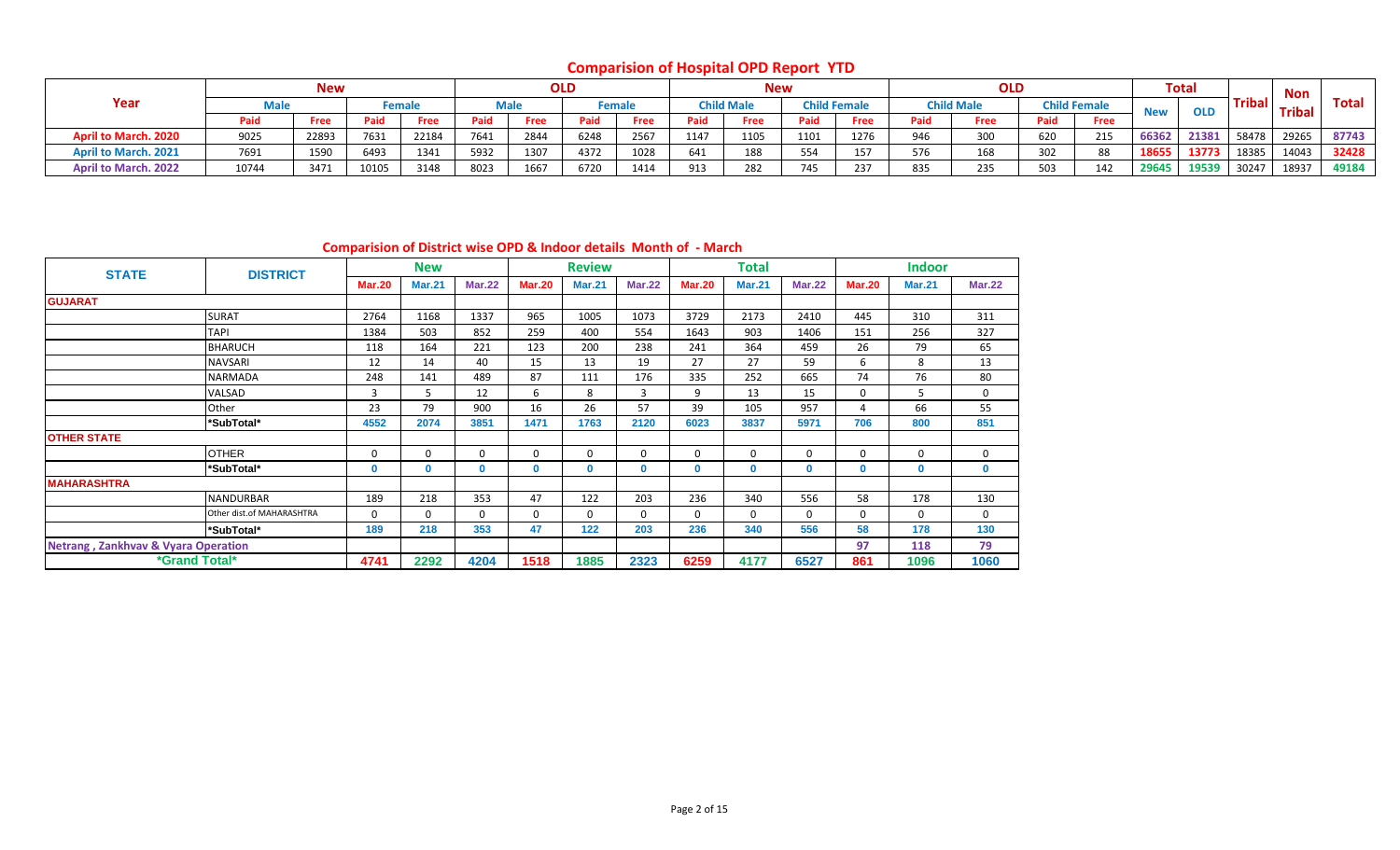# **Comparision of Hospital OPD Report YTD**

|                             |       | <b>New</b> |       |        |      |             | <b>OLD</b> |             |      | <b>New</b>        |                  |                     |     | <b>OLD</b>        |      |                     |            | <b>Total</b> |               | Non           |       |
|-----------------------------|-------|------------|-------|--------|------|-------------|------------|-------------|------|-------------------|------------------|---------------------|-----|-------------------|------|---------------------|------------|--------------|---------------|---------------|-------|
| Year                        | Male  |            |       | Female |      | Male        |            | Female      |      | <b>Child Male</b> |                  | <b>Child Female</b> |     | <b>Child Male</b> |      | <b>Child Female</b> | <b>New</b> | <b>OLD</b>   | <b>Tribal</b> | <b>Tribal</b> | Total |
|                             | Paid  | Free       | Paid  | Free   | Paid | <b>Free</b> | Paid       | <b>Free</b> | Paid | Free              | Paid             | Free                |     | Free              | Paid | Free                |            |              |               |               |       |
| <b>April to March. 2020</b> | 9025  | 22893      | 7631  | 22184  | 7641 | 2844        | 6248       | 2567        | 1147 | 1105              | 1101             | 1276                | 946 | 300               | 620  | 215                 | 66362      | 21381        | 58478         | 29265         | 87743 |
| <b>April to March. 2021</b> | 7691  | 1590       | 6493  | 1341   | 5932 | 1307        | 4372       | 1028        | 641  | 188               | 554              |                     | 576 | 168               | 302  | 88                  | 18655      | 13773        | 18385         | 14043         | 32428 |
| <b>April to March. 2022</b> | 10744 | 3471       | 10105 | 3148   | 8023 | 1667        | 6720       | 1414        | 913  | 282               | 7.0 <sub>1</sub> | 237                 | 835 | 235               | 503  | 142                 | 29645      | 19539        | 30247         | 18937         | 49184 |

#### **Comparision of District wise OPD & Indoor details Month of - March**

| <b>STATE</b>                                   | <b>DISTRICT</b>             |               | <b>New</b>    |               |               | <b>Review</b> |               |               | <b>Total</b>  |               |               | <b>Indoor</b> |               |
|------------------------------------------------|-----------------------------|---------------|---------------|---------------|---------------|---------------|---------------|---------------|---------------|---------------|---------------|---------------|---------------|
|                                                |                             | <b>Mar.20</b> | <b>Mar.21</b> | <b>Mar.22</b> | <b>Mar.20</b> | <b>Mar.21</b> | <b>Mar.22</b> | <b>Mar.20</b> | <b>Mar.21</b> | <b>Mar.22</b> | <b>Mar.20</b> | <b>Mar.21</b> | <b>Mar.22</b> |
| <b>GUJARAT</b>                                 |                             |               |               |               |               |               |               |               |               |               |               |               |               |
|                                                | <b>SURAT</b>                | 2764          | 1168          | 1337          | 965           | 1005          | 1073          | 3729          | 2173          | 2410          | 445           | 310           | 311           |
|                                                | <b>TAPI</b>                 | 1384          | 503           | 852           | 259           | 400           | 554           | 1643          | 903           | 1406          | 151           | 256           | 327           |
|                                                | <b>BHARUCH</b>              | 118           | 164           | 221           | 123           | 200           | 238           | 241           | 364           | 459           | 26            | 79            | 65            |
|                                                | <b>NAVSARI</b>              | 12            | 14            | 40            | 15            | 13            | 19            | 27            | 27            | 59            | 6             | 8             | 13            |
|                                                | <b>NARMADA</b>              | 248           | 141           | 489           | 87            | 111           | 176           | 335           | 252           | 665           | 74            | 76            | 80            |
|                                                | VALSAD                      | 3             | 5             | 12            | 6             | 8             | 3             | 9             | 13            | 15            | 0             | 5             | 0             |
|                                                | Other                       | 23            | 79            | 900           | 16            | 26            | 57            | 39            | 105           | 957           | 4             | 66            | 55            |
|                                                | *SubTotal*                  | 4552          | 2074          | 3851          | 1471          | 1763          | 2120          | 6023          | 3837          | 5971          | 706           | 800           | 851           |
| <b>OTHER STATE</b>                             |                             |               |               |               |               |               |               |               |               |               |               |               |               |
|                                                | <b>OTHER</b>                | 0             | $\Omega$      | $\Omega$      | 0             | 0             | $\mathbf 0$   | $\mathbf{0}$  | $\Omega$      | 0             | 0             | 0             | 0             |
|                                                | *SubTotal*                  | 0             | $\Omega$      | 0             | $\mathbf{0}$  | 0             | 0             | 0             | $\mathbf{0}$  | 0             | 0             | $\mathbf 0$   | $\bf{0}$      |
| <b>MAHARASHTRA</b>                             |                             |               |               |               |               |               |               |               |               |               |               |               |               |
|                                                | <b>NANDURBAR</b>            | 189           | 218           | 353           | 47            | 122           | 203           | 236           | 340           | 556           | 58            | 178           | 130           |
|                                                | Other dist.of MAHARASHTRA   | $\mathbf 0$   | $\Omega$      | $\Omega$      | $\Omega$      | 0             | $\mathbf 0$   | 0             | $\Omega$      | $\Omega$      | 0             | $\Omega$      | 0             |
|                                                | *SubTotal*                  | 189           | 218           | 353           | 47            | 122           | 203           | 236           | 340           | 556           | 58            | 178           | 130           |
| <b>Netrang, Zankhvav &amp; Vyara Operation</b> |                             |               |               |               |               |               |               |               |               |               | 97            | 118           | 79            |
|                                                | <i><b>*Grand Total*</b></i> | 4741          | 2292          | 4204          | 1518          | 1885          | 2323          | 6259          | 4177          | 6527          | 861           | 1096          | 1060          |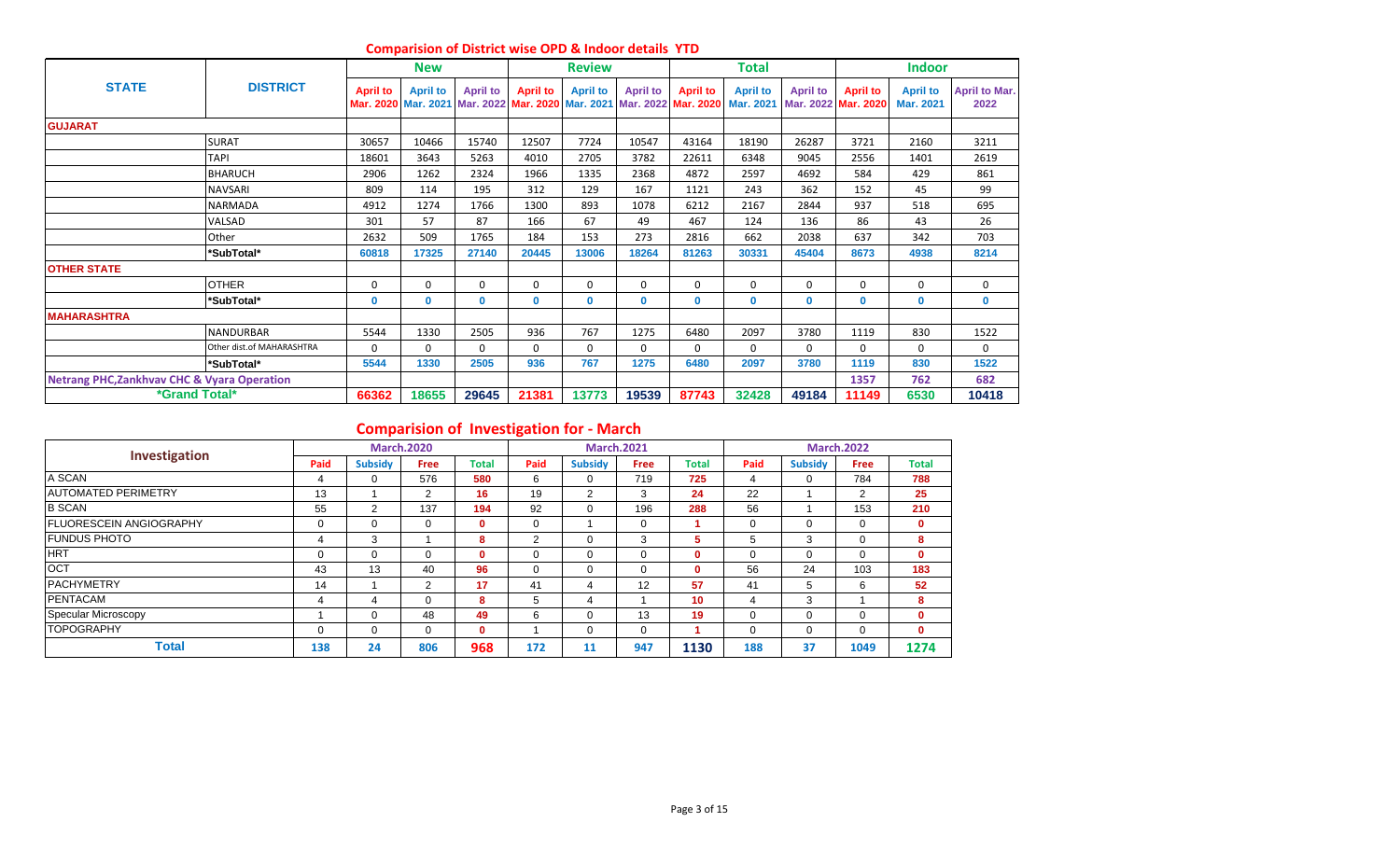|                                                        |                                  |                 | <b>New</b>      |                 |                 | <b>Review</b>   |                                                                                                    |                 | <b>Total</b>    |                 |                                        | <b>Indoor</b>                |                              |
|--------------------------------------------------------|----------------------------------|-----------------|-----------------|-----------------|-----------------|-----------------|----------------------------------------------------------------------------------------------------|-----------------|-----------------|-----------------|----------------------------------------|------------------------------|------------------------------|
| <b>STATE</b>                                           | <b>DISTRICT</b>                  | <b>April to</b> | <b>April to</b> | <b>April to</b> | <b>April to</b> | <b>April to</b> | <b>April to</b><br>Mar. 2020 Mar. 2021 Mar. 2022 Mar. 2020 Mar. 2021 Mar. 2022 Mar. 2020 Mar. 2021 | <b>April to</b> | <b>April to</b> | <b>April to</b> | <b>April to</b><br>Mar. 2022 Mar. 2020 | <b>April to</b><br>Mar. 2021 | <b>April to Mar.</b><br>2022 |
| <b>GUJARAT</b>                                         |                                  |                 |                 |                 |                 |                 |                                                                                                    |                 |                 |                 |                                        |                              |                              |
|                                                        | <b>SURAT</b>                     | 30657           | 10466           | 15740           | 12507           | 7724            | 10547                                                                                              | 43164           | 18190           | 26287           | 3721                                   | 2160                         | 3211                         |
|                                                        | <b>TAPI</b>                      | 18601           | 3643            | 5263            | 4010            | 2705            | 3782                                                                                               | 22611           | 6348            | 9045            | 2556                                   | 1401                         | 2619                         |
|                                                        | <b>BHARUCH</b>                   | 2906            | 1262            | 2324            | 1966            | 1335            | 2368                                                                                               | 4872            | 2597            | 4692            | 584                                    | 429                          | 861                          |
|                                                        | <b>NAVSARI</b>                   | 809             | 114             | 195             | 312             | 129             | 167                                                                                                | 1121            | 243             | 362             | 152                                    | 45                           | 99                           |
|                                                        | <b>NARMADA</b>                   | 4912            | 1274            | 1766            | 1300            | 893             | 1078                                                                                               | 6212            | 2167            | 2844            | 937                                    | 518                          | 695                          |
|                                                        | VALSAD                           | 301             | 57              | 87              | 166             | 67              | 49                                                                                                 | 467             | 124             | 136             | 86                                     | 43                           | 26                           |
|                                                        | Other                            | 2632            | 509             | 1765            | 184             | 153             | 273                                                                                                | 2816            | 662             | 2038            | 637                                    | 342                          | 703                          |
|                                                        | *SubTotal*                       | 60818           | 17325           | 27140           | 20445           | 13006           | 18264                                                                                              | 81263           | 30331           | 45404           | 8673                                   | 4938                         | 8214                         |
| <b>OTHER STATE</b>                                     |                                  |                 |                 |                 |                 |                 |                                                                                                    |                 |                 |                 |                                        |                              |                              |
|                                                        | <b>OTHER</b>                     | $\mathbf 0$     | $\Omega$        | $\Omega$        | $\Omega$        | $\Omega$        | $\Omega$                                                                                           | 0               | $\mathbf 0$     | $\Omega$        | $\Omega$                               | $\mathbf 0$                  | 0                            |
|                                                        | *SubTotal*                       | 0               | $\mathbf{0}$    | $\mathbf{0}$    | $\mathbf{0}$    | $\mathbf{0}$    | $\mathbf 0$                                                                                        | 0               | 0               | $\mathbf{0}$    | $\mathbf{0}$                           | $\mathbf 0$                  | $\mathbf{0}$                 |
| <b>MAHARASHTRA</b>                                     |                                  |                 |                 |                 |                 |                 |                                                                                                    |                 |                 |                 |                                        |                              |                              |
|                                                        | <b>NANDURBAR</b>                 | 5544            | 1330            | 2505            | 936             | 767             | 1275                                                                                               | 6480            | 2097            | 3780            | 1119                                   | 830                          | 1522                         |
|                                                        | <b>Other dist.of MAHARASHTRA</b> | $\Omega$        | $\Omega$        | $\Omega$        | $\Omega$        | $\Omega$        | $\Omega$                                                                                           | 0               | 0               | $\Omega$        | $\Omega$                               | 0                            | 0                            |
|                                                        | *SubTotal*                       | 5544            | 1330            | 2505            | 936             | 767             | 1275                                                                                               | 6480            | 2097            | 3780            | 1119                                   | 830                          | 1522                         |
| <b>Netrang PHC, Zankhvav CHC &amp; Vyara Operation</b> |                                  |                 |                 |                 |                 |                 |                                                                                                    |                 |                 |                 | 1357                                   | 762                          | 682                          |
| *Grand Total*                                          |                                  | 66362           | 18655           | 29645           | 21381           | 13773           | 19539                                                                                              | 87743           | 32428           | 49184           | 11149                                  | 6530                         | 10418                        |

#### **Comparision of District wise OPD & Indoor details YTD**

# **Comparision of Investigation for - March**

| Investigation                   |      |                | <b>March.2020</b> |              |      |                | <b>March.2021</b> |              |          |                | <b>March.2022</b> |              |
|---------------------------------|------|----------------|-------------------|--------------|------|----------------|-------------------|--------------|----------|----------------|-------------------|--------------|
|                                 | Paid | <b>Subsidy</b> | <b>Free</b>       | <b>Total</b> | Paid | <b>Subsidy</b> | <b>Free</b>       | <b>Total</b> | Paid     | <b>Subsidy</b> | <b>Free</b>       | <b>Total</b> |
| A SCAN                          |      | $\Omega$       | 576               | 580          | 6    | 0              | 719               | 725          | 4        | 0              | 784               | 788          |
| <b>JAUTOMATED PERIMETRY</b>     | 13   |                | 2                 | 16           | 19   | 2              | 3                 | 24           | 22       |                | $\overline{2}$    | 25           |
| <b>B SCAN</b>                   | 55   | 2              | 137               | 194          | 92   | 0              | 196               | 288          | 56       |                | 153               | 210          |
| <b>IFLUORESCEIN ANGIOGRAPHY</b> |      | $\Omega$       | $\Omega$          | $\mathbf{0}$ | 0    |                | $\Omega$          |              | $\Omega$ | 0              | $\Omega$          | 0            |
| <b>IFUNDUS PHOTO</b>            | 4    | 3              |                   | 8            | 2    | 0              | $\sim$<br>3       | ь            | 5        | 3              | $\Omega$          | 8            |
| <b>HRT</b>                      |      | $\Omega$       | $\Omega$          | $\mathbf{0}$ | 0    | 0              |                   | $\mathbf{0}$ | $\Omega$ | 0              | 0                 | 0            |
| <b>OCT</b>                      | 43   | 13             | 40                | 96           | 0    | 0              | 0                 | 0            | 56       | 24             | 103               | 183          |
| <b>PACHYMETRY</b>               | 14   |                | 2                 | 17           | 41   | 4              | 12                | 57           | 41       | 5              | 6                 | 52           |
| <b>PENTACAM</b>                 |      | 4              | $\Omega$          | 8            | 5    | 4              |                   | 10           | 4        | 3              |                   | 8            |
| Specular Microscopy             |      | $\Omega$       | 48                | 49           | 6    | 0              | 13                | 19           | $\Omega$ | 0              |                   | $\mathbf{0}$ |
| <b>TOPOGRAPHY</b>               |      | $\Omega$       | $\Omega$          | $\mathbf{0}$ |      | 0              | 0                 |              | $\Omega$ | 0              | $\Omega$          | $\mathbf{0}$ |
| <b>Total</b>                    | 138  | 24             | 806               | 968          | 172  | 11             | 947               | 1130         | 188      | 37             | 1049              | 1274         |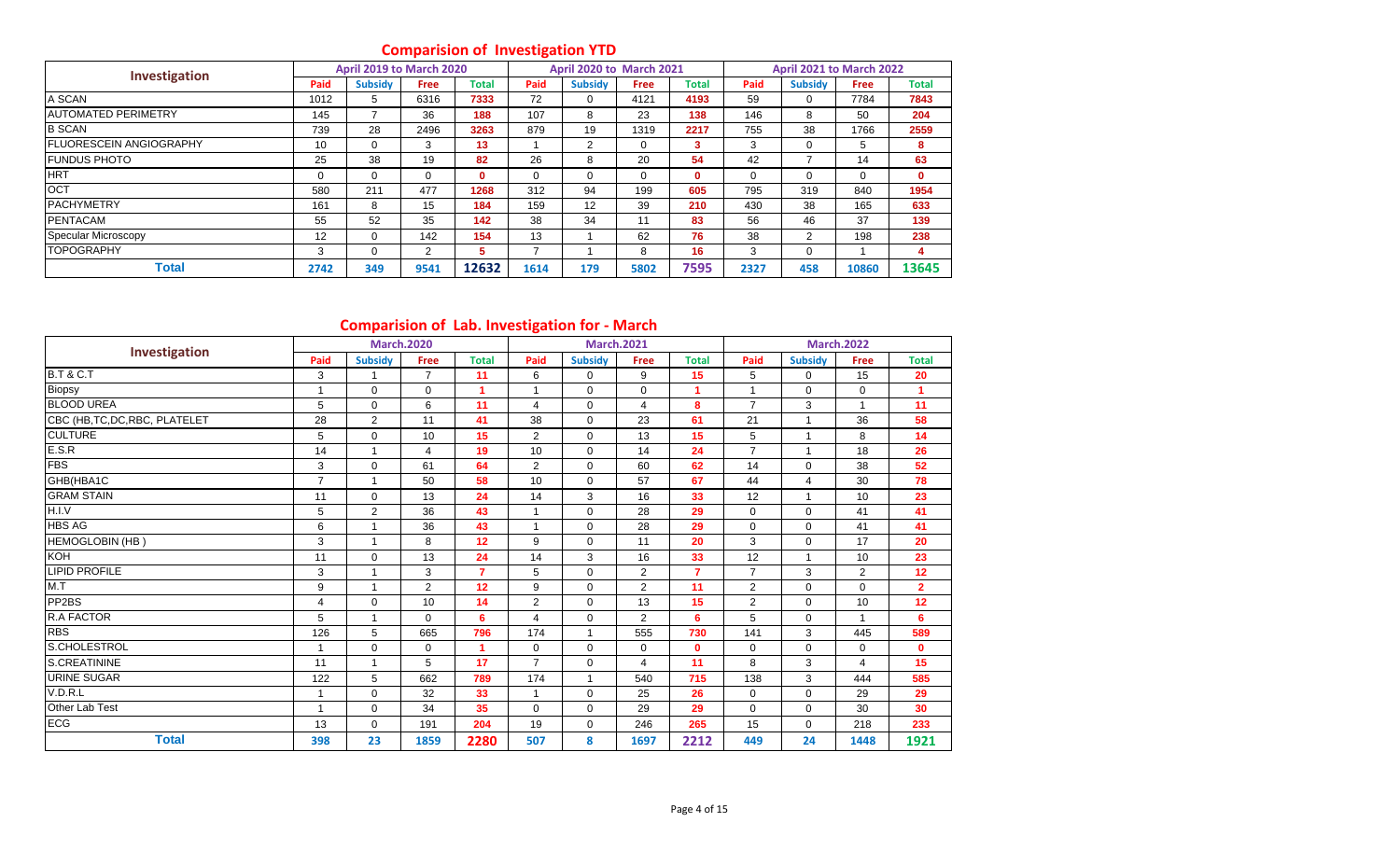# **Comparision of Investigation YTD**

| Investigation                  |                   | April 2019 to March 2020 |                |       |          | <b>April 2020 to March 2021</b> |             |              |      | April 2021 to March 2022 |             |              |
|--------------------------------|-------------------|--------------------------|----------------|-------|----------|---------------------------------|-------------|--------------|------|--------------------------|-------------|--------------|
|                                | Paid              | <b>Subsidy</b>           | <b>Free</b>    | Total | Paid     | <b>Subsidy</b>                  | <b>Free</b> | <b>Total</b> | Paid | <b>Subsidy</b>           | <b>Free</b> | Total        |
| A SCAN                         | 1012              | 5                        | 6316           | 7333  | 72       |                                 | 4121        | 4193         | 59   | 0                        | 7784        | 7843         |
| <b>JAUTOMATED PERIMETRY</b>    | 145               |                          | 36             | 188   | 107      | 8                               | 23          | 138          | 146  | 8                        | 50          | 204          |
| <b>B SCAN</b>                  | 739               | 28                       | 2496           | 3263  | 879      | 19                              | 1319        | 2217         | 755  | 38                       | 1766        | 2559         |
| <b>FLUORESCEIN ANGIOGRAPHY</b> | 10                | $\mathbf 0$              | 3              | 13    |          | 2                               | 0           | 3.           | 3    |                          | 5           | 8            |
| <b>FUNDUS PHOTO</b>            | 25                | 38                       | 19             | 82    | 26       | 8                               | 20          | 54           | 42   |                          | 14          | 63           |
| <b>HRT</b>                     | 0                 | $\Omega$                 | $\Omega$       | 0     | $\Omega$ | $\Omega$                        | 0           | $\mathbf{0}$ | 0    | 0                        | $\Omega$    | $\mathbf{0}$ |
| <b>OCT</b>                     | 580               | 211                      | 477            | 1268  | 312      | 94                              | 199         | 605          | 795  | 319                      | 840         | 1954         |
| <b>PACHYMETRY</b>              | 161               | 8                        | 15             | 184   | 159      | 12                              | 39          | 210          | 430  | 38                       | 165         | 633          |
| <b>PENTACAM</b>                | 55                | 52                       | 35             | 142   | 38       | 34                              | 11          | 83           | 56   | 46                       | 37          | 139          |
| Specular Microscopy            | $12 \overline{ }$ | $\Omega$                 | 142            | 154   | 13       |                                 | 62          | 76           | 38   | $\mathcal{P}$            | 198         | 238          |
| <b>TOPOGRAPHY</b>              | 3                 | 0                        | $\overline{2}$ | 5     | ⇁        |                                 | 8           | 16           | 3    | $\Omega$                 |             | 4            |
| Total                          | 2742              | 349                      | 9541           | 12632 | 1614     | 179                             | 5802        | 7595         | 2327 | 458                      | 10860       | 13645        |

# **Comparision of Lab. Investigation for - March**

|                                |                | comparision or cas, investigation for march |                |                      |                |                   |                |                |                |                |                      |                |
|--------------------------------|----------------|---------------------------------------------|----------------|----------------------|----------------|-------------------|----------------|----------------|----------------|----------------|----------------------|----------------|
| Investigation                  |                | <b>March.2020</b>                           |                |                      |                | <b>March.2021</b> |                |                |                |                | <b>March.2022</b>    |                |
|                                | Paid           | <b>Subsidy</b>                              | <b>Free</b>    | <b>Total</b>         | Paid           | <b>Subsidy</b>    | Free           | <b>Total</b>   | Paid           | <b>Subsidy</b> | Free                 | <b>Total</b>   |
| <b>B.T &amp; C.T</b>           | 3              |                                             | $\overline{7}$ | 11                   | 6              | $\mathbf 0$       | 9              | 15             | 5              | $\Omega$       | 15                   | 20             |
| Biopsy                         | $\mathbf{1}$   | $\mathbf 0$                                 | $\mathbf 0$    | $\overline{1}$       | 1              | $\Omega$          | $\Omega$       | и              | 1              | $\Omega$       | $\mathbf 0$          | 1              |
| <b>BLOOD UREA</b>              | 5              | $\mathbf 0$                                 | 6              | 11                   | 4              | $\Omega$          | 4              | 8              | $\overline{7}$ | 3              | $\blacktriangleleft$ | 11             |
| CBC (HB, TC, DC, RBC, PLATELET | 28             | 2                                           | 11             | 41                   | 38             | $\Omega$          | 23             | 61             | 21             | 1              | 36                   | 58             |
| <b>CULTURE</b>                 | 5              | $\Omega$                                    | 10             | 15                   | $\overline{2}$ | $\Omega$          | 13             | 15             | 5              | $\overline{ }$ | 8                    | 14             |
| E.S.R                          | 14             | $\overline{1}$                              | $\overline{4}$ | 19                   | 10             | $\Omega$          | 14             | 24             | $\overline{7}$ | $\mathbf{1}$   | 18                   | 26             |
| <b>FBS</b>                     | 3              | $\Omega$                                    | 61             | 64                   | $\overline{2}$ | $\mathbf 0$       | 60             | 62             | 14             | $\Omega$       | 38                   | 52             |
| GHB(HBA1C                      | $\overline{7}$ | $\overline{1}$                              | 50             | 58                   | 10             | $\Omega$          | 57             | 67             | 44             | $\overline{4}$ | 30                   | 78             |
| <b>GRAM STAIN</b>              | 11             | $\Omega$                                    | 13             | 24                   | 14             | 3                 | 16             | 33             | 12             | 1              | 10                   | 23             |
| H.I.V                          | 5              | 2                                           | 36             | 43                   | 1              | $\mathbf 0$       | 28             | 29             | $\mathbf 0$    | $\Omega$       | 41                   | 41             |
| <b>HBS AG</b>                  | 6              | $\overline{1}$                              | 36             | 43                   | $\overline{1}$ | $\Omega$          | 28             | 29             | $\mathbf 0$    | $\Omega$       | 41                   | 41             |
| HEMOGLOBIN (HB)                | 3              | $\overline{1}$                              | 8              | 12                   | 9              | $\mathbf 0$       | 11             | 20             | 3              | $\mathbf 0$    | 17                   | 20             |
| KOH                            | 11             | $\Omega$                                    | 13             | 24                   | 14             | 3                 | 16             | 33             | 12             | $\mathbf{1}$   | 10                   | 23             |
| <b>LIPID PROFILE</b>           | 3              | $\overline{1}$                              | 3              | $\overline{7}$       | 5              | $\Omega$          | $\overline{2}$ | $\overline{7}$ | $\overline{7}$ | 3              | $\overline{2}$       | 12             |
| M.T                            | 9              | $\overline{1}$                              | $\overline{2}$ | 12                   | 9              | $\Omega$          | 2              | 11             | $\overline{2}$ | $\Omega$       | $\Omega$             | $\overline{2}$ |
| PP <sub>2</sub> BS             | 4              | $\mathbf 0$                                 | 10             | 14                   | $\overline{2}$ | $\mathbf 0$       | 13             | 15             | $\overline{2}$ | $\mathbf 0$    | 10                   | 12             |
| R.A FACTOR                     | 5              | $\mathbf{1}$                                | $\Omega$       | 6                    | 4              | $\Omega$          | $\overline{2}$ | 6              | 5              | $\Omega$       | $\blacktriangleleft$ | 6              |
| <b>RBS</b>                     | 126            | 5                                           | 665            | 796                  | 174            | $\mathbf{1}$      | 555            | 730            | 141            | 3              | 445                  | 589            |
| S.CHOLESTROL                   | $\mathbf{1}$   | $\mathbf 0$                                 | 0              | $\blacktriangleleft$ | $\mathbf 0$    | $\mathbf 0$       | $\mathbf 0$    | $\mathbf{0}$   | $\mathbf 0$    | $\Omega$       | $\mathbf 0$          | 0              |
| <b>S.CREATININE</b>            | 11             | $\mathbf{1}$                                | 5              | 17                   | $\overline{7}$ | $\Omega$          | 4              | 11             | 8              | 3              | 4                    | 15             |
| <b>URINE SUGAR</b>             | 122            | 5                                           | 662            | 789                  | 174            | $\mathbf{1}$      | 540            | 715            | 138            | 3              | 444                  | 585            |
| V.D.R.L                        | $\mathbf{1}$   | $\mathbf 0$                                 | 32             | 33                   | $\mathbf{1}$   | $\mathbf 0$       | 25             | 26             | $\mathbf 0$    | $\Omega$       | 29                   | 29             |
| Other Lab Test                 | $\mathbf{1}$   | $\Omega$                                    | 34             | 35                   | $\Omega$       | $\Omega$          | 29             | 29             | $\mathbf 0$    | $\Omega$       | 30                   | 30             |
| <b>ECG</b>                     | 13             | $\mathbf 0$                                 | 191            | 204                  | 19             | $\mathbf 0$       | 246            | 265            | 15             | $\mathbf 0$    | 218                  | 233            |
| <b>Total</b>                   | 398            | 23                                          | 1859           | 2280                 | 507            | 8                 | 1697           | 2212           | 449            | 24             | 1448                 | 1921           |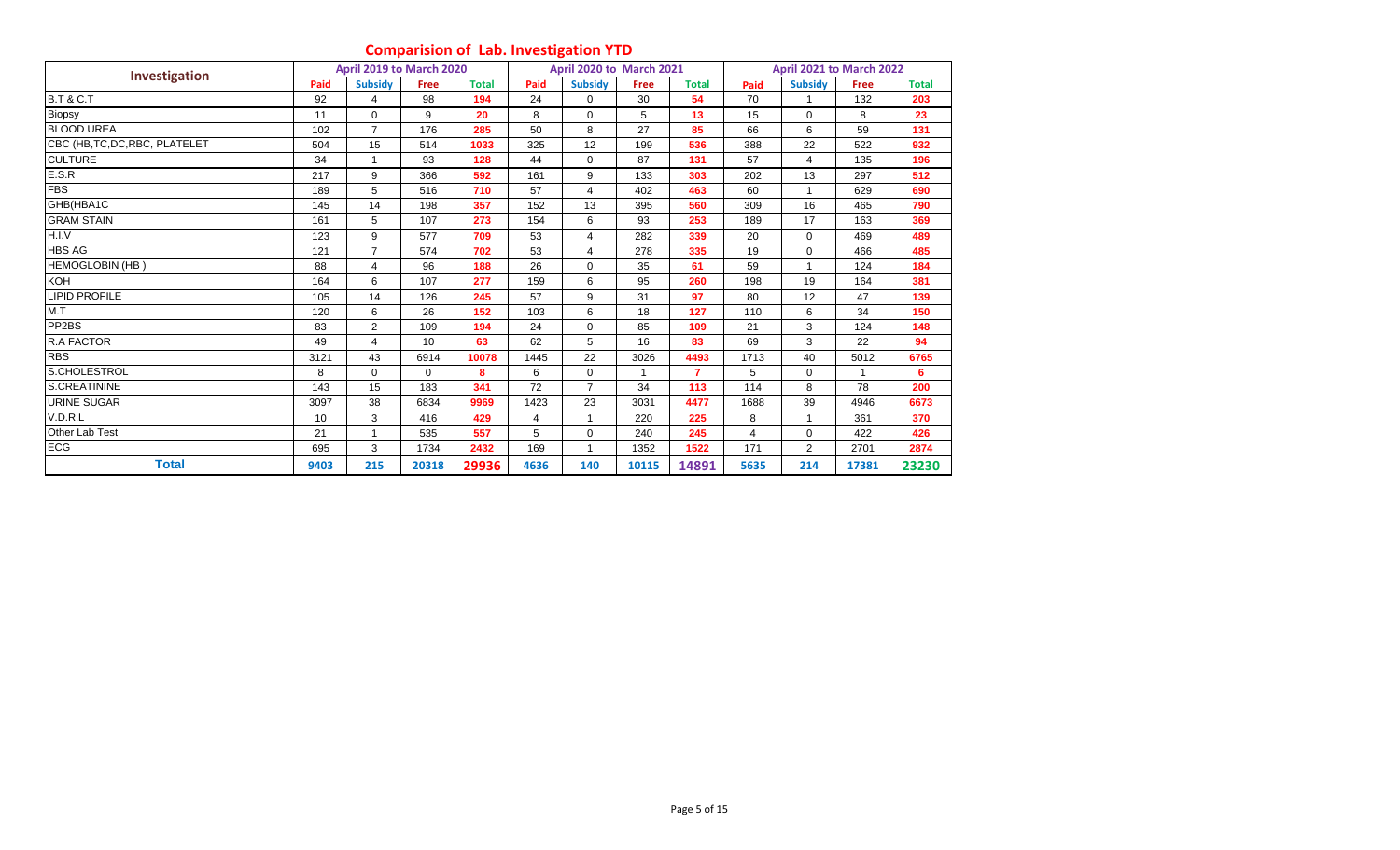# **Comparision of Lab. Investigation YTD**

|                                |      | April 2019 to March 2020 |             |              |      | <b>April 2020 to March 2021</b> |       |                |                | April 2021 to March 2022 |             |              |
|--------------------------------|------|--------------------------|-------------|--------------|------|---------------------------------|-------|----------------|----------------|--------------------------|-------------|--------------|
| Investigation                  | Paid | <b>Subsidy</b>           | <b>Free</b> | <b>Total</b> | Paid | <b>Subsidy</b>                  | Free  | <b>Total</b>   | Paid           | <b>Subsidy</b>           | <b>Free</b> | <b>Total</b> |
| <b>B.T &amp; C.T</b>           | 92   | 4                        | 98          | 194          | 24   | 0                               | 30    | 54             | 70             |                          | 132         | 203          |
| Biopsy                         | 11   | $\mathbf 0$              | 9           | 20           | 8    | 0                               | 5     | 13             | 15             | $\mathbf 0$              | 8           | 23           |
| <b>BLOOD UREA</b>              | 102  | $\overline{7}$           | 176         | 285          | 50   | 8                               | 27    | 85             | 66             | 6                        | 59          | 131          |
| CBC (HB, TC, DC, RBC, PLATELET | 504  | 15                       | 514         | 1033         | 325  | 12                              | 199   | 536            | 388            | 22                       | 522         | 932          |
| <b>CULTURE</b>                 | 34   | $\mathbf{1}$             | 93          | 128          | 44   | $\Omega$                        | 87    | 131            | 57             | $\overline{4}$           | 135         | 196          |
| E.S.R                          | 217  | 9                        | 366         | 592          | 161  | 9                               | 133   | 303            | 202            | 13                       | 297         | 512          |
| <b>FBS</b>                     | 189  | 5                        | 516         | 710          | 57   | 4                               | 402   | 463            | 60             | $\mathbf{1}$             | 629         | 690          |
| GHB(HBA1C                      | 145  | 14                       | 198         | 357          | 152  | 13                              | 395   | 560            | 309            | 16                       | 465         | 790          |
| <b>GRAM STAIN</b>              | 161  | 5                        | 107         | 273          | 154  | 6                               | 93    | 253            | 189            | 17                       | 163         | 369          |
| H.I.V                          | 123  | 9                        | 577         | 709          | 53   | 4                               | 282   | 339            | 20             | $\Omega$                 | 469         | 489          |
| <b>HBS AG</b>                  | 121  | $\overline{7}$           | 574         | 702          | 53   | 4                               | 278   | 335            | 19             | $\mathbf 0$              | 466         | 485          |
| <b>HEMOGLOBIN (HB)</b>         | 88   | 4                        | 96          | 188          | 26   | $\Omega$                        | 35    | 61             | 59             |                          | 124         | 184          |
| <b>KOH</b>                     | 164  | 6                        | 107         | 277          | 159  | 6                               | 95    | 260            | 198            | 19                       | 164         | 381          |
| <b>LIPID PROFILE</b>           | 105  | 14                       | 126         | 245          | 57   | 9                               | 31    | 97             | 80             | 12                       | 47          | 139          |
| M.T                            | 120  | 6                        | 26          | 152          | 103  | 6                               | 18    | 127            | 110            | 6                        | 34          | 150          |
| PP <sub>2</sub> BS             | 83   | $\overline{c}$           | 109         | 194          | 24   | $\Omega$                        | 85    | 109            | 21             | 3                        | 124         | 148          |
| <b>R.A FACTOR</b>              | 49   | 4                        | 10          | 63           | 62   | 5                               | 16    | 83             | 69             | 3                        | 22          | 94           |
| <b>RBS</b>                     | 3121 | 43                       | 6914        | 10078        | 1445 | 22                              | 3026  | 4493           | 1713           | 40                       | 5012        | 6765         |
| S.CHOLESTROL                   | 8    | $\mathbf 0$              | $\Omega$    | 8            | 6    | 0                               |       | $\overline{7}$ | 5              | 0                        |             | 6            |
| <b>S.CREATININE</b>            | 143  | 15                       | 183         | 341          | 72   | $\overline{7}$                  | 34    | 113            | 114            | 8                        | 78          | 200          |
| <b>URINE SUGAR</b>             | 3097 | 38                       | 6834        | 9969         | 1423 | 23                              | 3031  | 4477           | 1688           | 39                       | 4946        | 6673         |
| V.D.R.L                        | 10   | 3                        | 416         | 429          | 4    |                                 | 220   | 225            | 8              |                          | 361         | 370          |
| Other Lab Test                 | 21   | 1                        | 535         | 557          | 5    | 0                               | 240   | 245            | $\overline{4}$ | $\mathbf 0$              | 422         | 426          |
| <b>ECG</b>                     | 695  | 3                        | 1734        | 2432         | 169  |                                 | 1352  | 1522           | 171            | $\overline{2}$           | 2701        | 2874         |
| Total                          | 9403 | 215                      | 20318       | 29936        | 4636 | 140                             | 10115 | 14891          | 5635           | 214                      | 17381       | 23230        |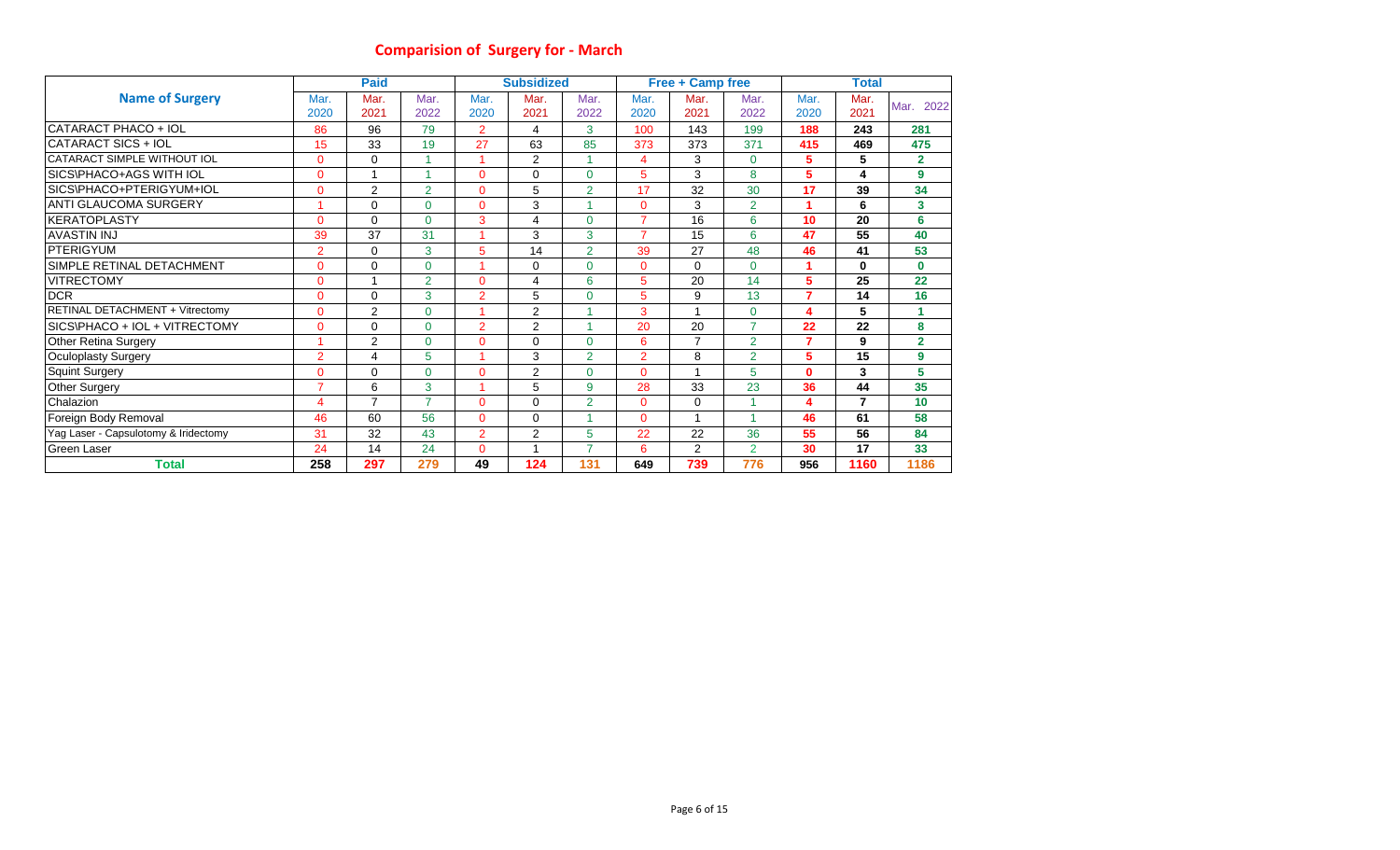# **Comparision of Surgery for - March**

|                                      |                | <b>Paid</b>    |                |                | <b>Subsidized</b> |                |                | <b>Free + Camp free</b> |                         |                | <b>Total</b> |                 |
|--------------------------------------|----------------|----------------|----------------|----------------|-------------------|----------------|----------------|-------------------------|-------------------------|----------------|--------------|-----------------|
| <b>Name of Surgery</b>               | Mar.           | Mar.           | Mar.           | Mar.           | Mar.              | Mar.           | Mar.           | Mar.                    | Mar.                    | Mar.           | Mar.         |                 |
|                                      | 2020           | 2021           | 2022           | 2020           | 2021              | 2022           | 2020           | 2021                    | 2022                    | 2020           | 2021         | 2022<br>Mar.    |
| CATARACT PHACO + IOL                 | 86             | 96             | 79             | $\overline{2}$ | 4                 | 3              | 100            | 143                     | 199                     | 188            | 243          | 281             |
| CATARACT SICS + IOL                  | 15             | 33             | 19             | 27             | 63                | 85             | 373            | 373                     | 371                     | 415            | 469          | 475             |
| CATARACT SIMPLE WITHOUT IOL          | $\Omega$       | 0              |                |                | 2                 |                | $\overline{4}$ | 3                       | $\mathbf{0}$            | 5.             | 5            | $\overline{2}$  |
| SICS\PHACO+AGS WITH IOL              | $\Omega$       | 1              |                | $\Omega$       | $\Omega$          | $\Omega$       | 5              | 3                       | 8                       | 5              | 4            | 9               |
| SICS\PHACO+PTERIGYUM+IOL             | $\Omega$       | 2              | $\overline{2}$ | $\Omega$       | 5                 | $\overline{2}$ | 17             | 32                      | 30                      | 17             | 39           | 34              |
| <b>ANTI GLAUCOMA SURGERY</b>         |                | 0              | $\Omega$       | $\Omega$       | 3                 |                | $\Omega$       | 3                       | $\overline{2}$          |                | 6            | 3               |
| <b>KERATOPLASTY</b>                  | $\Omega$       | 0              | $\Omega$       | 3              | 4                 | 0              | $\overline{7}$ | 16                      | 6                       | 10             | 20           | 6               |
| <b>AVASTIN INJ</b>                   | 39             | 37             | 31             |                | 3                 | 3              | $\overline{7}$ | 15                      | 6                       | 47             | 55           | 40              |
| PTERIGYUM                            | $\overline{2}$ | 0              | 3              | 5              | 14                | $\overline{2}$ | 39             | 27                      | 48                      | 46             | 41           | 53              |
| SIMPLE RETINAL DETACHMENT            | $\Omega$       | $\Omega$       | $\Omega$       |                | $\mathbf 0$       | 0              | $\Omega$       | $\Omega$                | $\Omega$                |                | $\mathbf 0$  | $\mathbf{0}$    |
| <b>VITRECTOMY</b>                    | $\Omega$       | $\overline{1}$ | $\overline{2}$ | $\Omega$       | 4                 | 6              | 5              | 20                      | 14                      | 5              | 25           | 22              |
| <b>DCR</b>                           | $\Omega$       | 0              | 3              | $\overline{2}$ | 5                 | 0              | 5              | 9                       | 13                      | $\overline{ }$ | 14           | 16              |
| RETINAL DETACHMENT + Vitrectomy      | $\Omega$       | 2              | $\Omega$       |                | 2                 |                | 3              | и                       | $\mathbf{0}$            | 4              | 5            | 1               |
| SICS\PHACO + IOL + VITRECTOMY        | $\Omega$       | $\Omega$       | $\Omega$       | $\overline{2}$ | $\overline{2}$    |                | 20             | 20                      | $\overline{7}$          | 22             | 22           | 8               |
| Other Retina Surgery                 |                | 2              | $\Omega$       | $\overline{0}$ | 0                 | 0              | 6              | $\overline{7}$          | $\overline{2}$          | $\overline{7}$ | 9            | $\overline{2}$  |
| <b>Oculoplasty Surgery</b>           | $\overline{2}$ | 4              | 5              |                | 3                 | $\overline{2}$ | $\overline{2}$ | 8                       | $\overline{2}$          | 5              | 15           | 9               |
| <b>Squint Surgery</b>                | $\Omega$       | $\Omega$       | $\Omega$       | $\Omega$       | 2                 | $\Omega$       | $\Omega$       | и                       | 5                       | O.             | 3            | 5               |
| <b>Other Surgery</b>                 | ⇁              | 6              | 3              |                | 5                 | 9              | 28             | 33                      | 23                      | 36             | 44           | 35              |
| Chalazion                            | 4              | $\overline{7}$ | $\overline{7}$ | $\Omega$       | 0                 | $\overline{2}$ | $\Omega$       | 0                       | 4                       | 4              | 7            | 10 <sup>1</sup> |
| Foreign Body Removal                 | 46             | 60             | 56             | $\Omega$       | $\mathbf 0$       |                | $\Omega$       | 1                       | $\overline{\mathbf{A}}$ | 46             | 61           | 58              |
| Yag Laser - Capsulotomy & Iridectomy | 31             | 32             | 43             | $\overline{2}$ | $\overline{2}$    | 5              | 22             | 22                      | 36                      | 55             | 56           | 84              |
| Green Laser                          | 24             | 14             | 24             | $\Omega$       | 1                 | ⇁              | 6              | $\overline{c}$          | $\overline{2}$          | 30             | 17           | 33              |
| <b>Total</b>                         | 258            | 297            | 279            | 49             | 124               | 131            | 649            | 739                     | 776                     | 956            | 1160         | 1186            |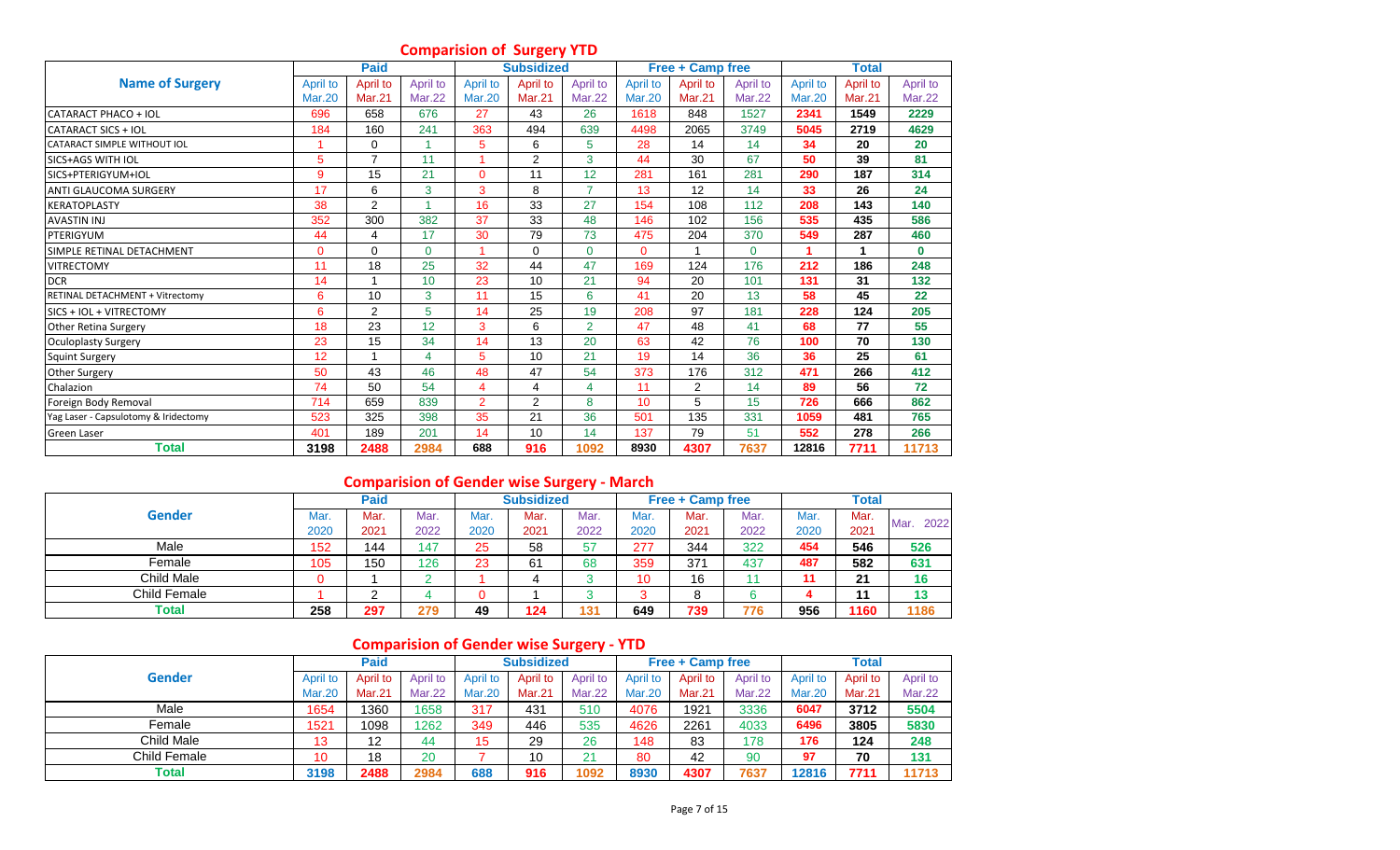# **Comparision of Surgery YTD**

|                                        |                 | <b>Paid</b>    |               |                 | <b>Subsidized</b> |                |               | <b>Free + Camp free</b> |               |               | <b>Total</b>  |               |
|----------------------------------------|-----------------|----------------|---------------|-----------------|-------------------|----------------|---------------|-------------------------|---------------|---------------|---------------|---------------|
| <b>Name of Surgery</b>                 | <b>April to</b> | April to       | April to      | <b>April to</b> | April to          | April to       | April to      | April to                | April to      | April to      | April to      | April to      |
|                                        | <b>Mar.20</b>   | <b>Mar.21</b>  | <b>Mar.22</b> | <b>Mar.20</b>   | <b>Mar.21</b>     | <b>Mar.22</b>  | <b>Mar.20</b> | <b>Mar.21</b>           | <b>Mar.22</b> | <b>Mar.20</b> | <b>Mar.21</b> | <b>Mar.22</b> |
| CATARACT PHACO + IOL                   | 696             | 658            | 676           | 27              | 43                | 26             | 1618          | 848                     | 1527          | 2341          | 1549          | 2229          |
| <b>CATARACT SICS + IOL</b>             | 184             | 160            | 241           | 363             | 494               | 639            | 4498          | 2065                    | 3749          | 5045          | 2719          | 4629          |
| CATARACT SIMPLE WITHOUT IOL            |                 | 0              |               | 5               | 6                 | 5              | 28            | 14                      | 14            | 34            | 20            | 20            |
| SICS+AGS WITH IOL                      | 5               | $\overline{7}$ | 11            |                 | 2                 | 3              | 44            | 30                      | 67            | 50            | 39            | 81            |
| SICS+PTERIGYUM+IOL                     | 9               | 15             | 21            | $\mathbf 0$     | 11                | 12             | 281           | 161                     | 281           | 290           | 187           | 314           |
| <b>ANTI GLAUCOMA SURGERY</b>           | 17              | 6              | 3             | 3               | 8                 | $\overline{7}$ | 13            | 12                      | 14            | 33            | 26            | 24            |
| <b>KERATOPLASTY</b>                    | 38              | 2              |               | 16              | 33                | 27             | 154           | 108                     | 112           | 208           | 143           | 140           |
| <b>AVASTIN INJ</b>                     | 352             | 300            | 382           | 37              | 33                | 48             | 146           | 102                     | 156           | 535           | 435           | 586           |
| PTERIGYUM                              | 44              | 4              | 17            | 30              | 79                | 73             | 475           | 204                     | 370           | 549           | 287           | 460           |
| SIMPLE RETINAL DETACHMENT              | $\Omega$        | $\Omega$       | $\Omega$      | ٠               | $\Omega$          | $\Omega$       | $\Omega$      |                         | $\Omega$      |               | 1             | $\mathbf{0}$  |
| <b>VITRECTOMY</b>                      | 11              | 18             | 25            | 32              | 44                | 47             | 169           | 124                     | 176           | 212           | 186           | 248           |
| <b>DCR</b>                             | 14              |                | 10            | 23              | 10                | 21             | 94            | 20                      | 101           | 131           | 31            | 132           |
| <b>RETINAL DETACHMENT + Vitrectomy</b> | 6               | 10             | 3             | 11              | 15                | 6              | 41            | 20                      | 13            | 58            | 45            | 22            |
| SICS + IOL + VITRECTOMY                | 6               | 2              | 5             | 14              | 25                | 19             | 208           | 97                      | 181           | 228           | 124           | 205           |
| <b>Other Retina Surgery</b>            | 18              | 23             | 12            | 3               | 6                 | $\overline{2}$ | 47            | 48                      | 41            | 68            | 77            | 55            |
| <b>Oculoplasty Surgery</b>             | 23              | 15             | 34            | 14              | 13                | 20             | 63            | 42                      | 76            | 100           | 70            | 130           |
| <b>Squint Surgery</b>                  | 12              |                | 4             | 5               | 10                | 21             | 19            | 14                      | 36            | 36            | 25            | 61            |
| Other Surgery                          | 50              | 43             | 46            | 48              | 47                | 54             | 373           | 176                     | 312           | 471           | 266           | 412           |
| Chalazion                              | 74              | 50             | 54            | 4               | 4                 | 4              | 11            | $\overline{2}$          | 14            | 89            | 56            | 72            |
| Foreign Body Removal                   | 714             | 659            | 839           | $\overline{2}$  | 2                 | 8              | 10            | 5                       | 15            | 726           | 666           | 862           |
| Yag Laser - Capsulotomy & Iridectomy   | 523             | 325            | 398           | 35              | 21                | 36             | 501           | 135                     | 331           | 1059          | 481           | 765           |
| <b>Green Laser</b>                     | 401             | 189            | 201           | 14              | 10                | 14             | 137           | 79                      | 51            | 552           | 278           | 266           |
| Total                                  | 3198            | 2488           | 2984          | 688             | 916               | 1092           | 8930          | 4307                    | 7637          | 12816         | 7711          | 11713         |

# **Comparision of Gender wise Surgery - March**

|              |      | Paid |      |      | <b>Subsidized</b> |      |      | <b>Free + Camp free</b> |      |      | Total |              |
|--------------|------|------|------|------|-------------------|------|------|-------------------------|------|------|-------|--------------|
| Gender       | Mar. | Mar. | Mar. | Mar. | Mar.              | Mar. | Mar. | Mar.                    | Mar. | Mar. | Mar.  | 2022<br>Mar. |
|              | 2020 | 2021 | 2022 | 2020 | 2021              | 2022 | 2020 | 2021                    | 2022 | 2020 | 2021  |              |
| Male         | 152  | 144  | 147  | 25   | 58                | 57   | 277  | 344                     | 322  | 454  | 546   | 526          |
| Female       | 105  | 150  | 126  | 23   | 61                | 68   | 359  | 371                     | 437  | 487  | 582   | 631          |
| Child Male   |      |      |      |      | 4                 |      | 10   | 16                      |      |      | 21    | 16           |
| Child Female |      |      |      |      |                   |      |      |                         |      |      | 11    | 13           |
| Total        | 258  | 297  | 279  | 49   | 124               | 131  | 649  | 739                     | 776  | 956  | 1160  | 1186         |

# **Comparision of Gender wise Surgery - YTD**

|                   |               | Paid          |               |               | <b>Subsidized</b> |               |               | <b>Free + Camp free</b> |               |                 | <b>Total</b>  |               |
|-------------------|---------------|---------------|---------------|---------------|-------------------|---------------|---------------|-------------------------|---------------|-----------------|---------------|---------------|
| <b>Gender</b>     | April to      | April to      | April to      | April to      | April to          | April to      | April to      | April to                | April to      | <b>April to</b> | April to      | April to      |
|                   | <b>Mar.20</b> | <b>Mar.21</b> | <b>Mar.22</b> | <b>Mar.20</b> | Mar.21            | <b>Mar.22</b> | <b>Mar.20</b> | Mar.21                  | <b>Mar.22</b> | <b>Mar.20</b>   | <b>Mar.21</b> | <b>Mar.22</b> |
| Male              | 1654          | 1360          | 1658          | 317           | 43 <sup>1</sup>   | 510           | 4076          | 1921                    | 3336          | 6047            | 3712          | 5504          |
| Female            | 1521          | 1098          | 1262          | 349           | 446               | 535           | 4626          | 2261                    | 4033          | 6496            | 3805          | 5830          |
| <b>Child Male</b> | 13            | 12            | 44            | 15            | 29                | 26            | 148           | 83                      | 178           | 176             | 124           | 248           |
| Child Female      | 10            | 18            | 20            |               | 10                | 21            | 80            | 42                      | 90            | 97              | 70            | 131           |
| <b>Total</b>      | 3198          | 2488          | 2984          | 688           | 916               | 1092          | 8930          | 4307                    | 7637          | 12816           | 7711          | 11713         |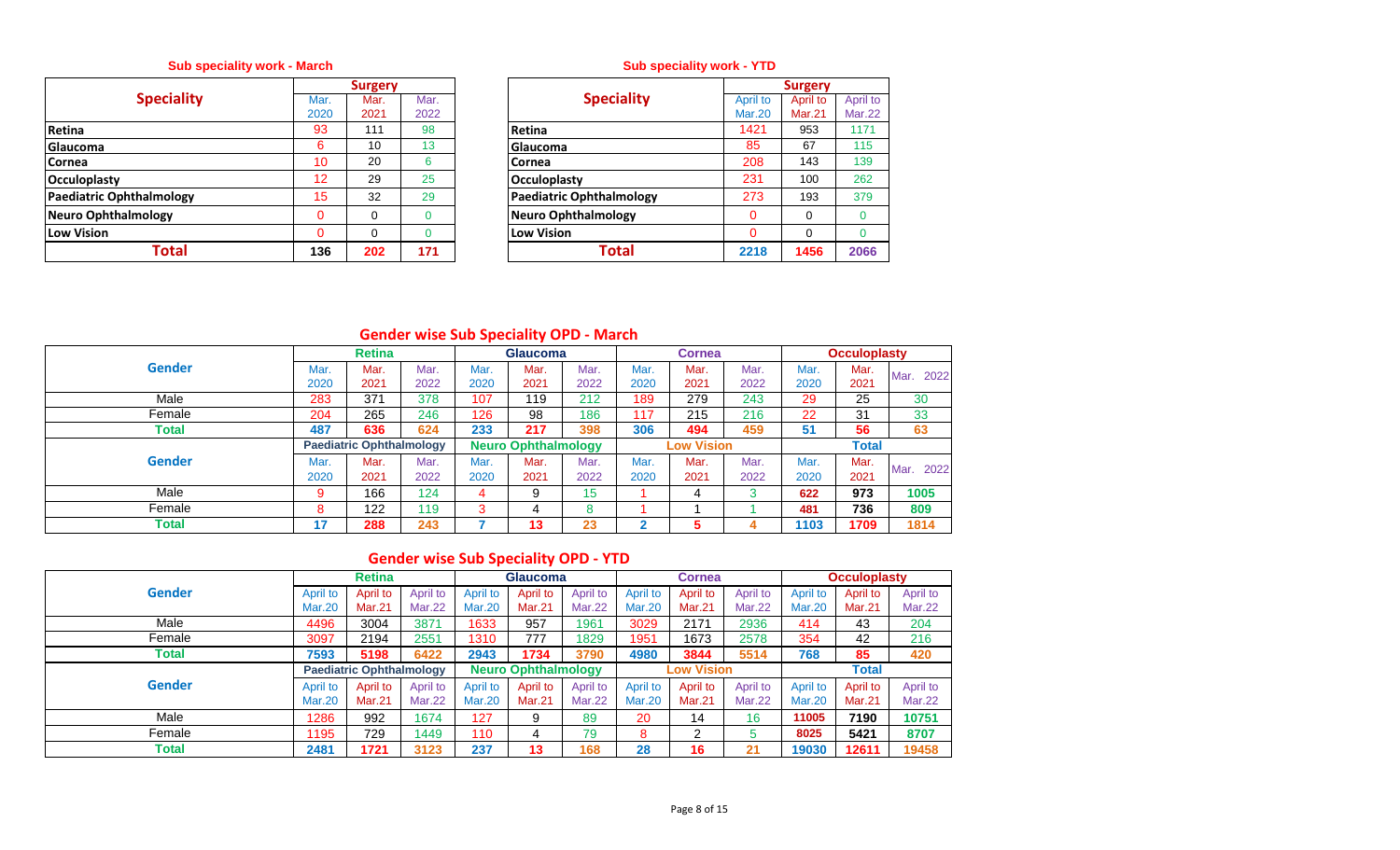## **Sub speciality work - March**

|                            |          | <b>Surgery</b> |      |                                 |
|----------------------------|----------|----------------|------|---------------------------------|
| <b>Speciality</b>          | Mar.     | Mar.           | Mar. | <b>Speciality</b>               |
|                            | 2020     | 2021           | 2022 |                                 |
| Retina                     | 93       | 111            | 98   | <b>Retina</b>                   |
| <b>Glaucoma</b>            | 6        | 10             | 13   | Glaucoma                        |
| <b>Cornea</b>              | 10       | 20             | 6    | Cornea                          |
| <b>Occuloplasty</b>        | 12       | 29             | 25   | <b>Occuloplasty</b>             |
| Paediatric Ophthalmology   | 15       | 32             | 29   | <b>Paediatric Ophthalmology</b> |
| <b>Neuro Ophthalmology</b> | $\Omega$ | $\Omega$       |      | Neuro Ophthalmology             |
| Low Vision                 | 0        | $\Omega$       | 0    | <b>Low Vision</b>               |
| Total                      | 136      | 202            | 171  | Total                           |

## **Sub speciality work - YTD**

|          | <b>Surgery</b> |      |                                 |          | <b>Surgery</b> |               |
|----------|----------------|------|---------------------------------|----------|----------------|---------------|
| Mar.     | Mar.           | Mar. | <b>Speciality</b>               | April to | April to       | April to      |
| 2020     | 2021           | 2022 |                                 | Mar.20   | Mar.21         | <b>Mar.22</b> |
| 93       | 111            | 98   | Retina                          | 1421     | 953            | 1171          |
| 6        | 10             | 13   | Glaucoma                        | 85       | 67             | 115           |
| 10       | 20             | 6    | Cornea                          | 208      | 143            | 139           |
| 12       | 29             | 25   | Occuloplasty                    | 231      | 100            | 262           |
| 15       | 32             | 29   | <b>Paediatric Ophthalmology</b> | 273      | 193            | 379           |
| $\Omega$ | 0              | 0    | <b>Neuro Ophthalmology</b>      |          | $\Omega$       |               |
| $\Omega$ | 0              | 0    | <b>Low Vision</b>               |          | $\Omega$       |               |
| 136      | 202            | 171  | Total                           | 2218     | 1456           | 2066          |

# **Gender wise Sub Speciality OPD - March**

|               |      | <b>Retina</b>                   |      |      | <b>Glaucoma</b>            |         |             | <b>Cornea</b>     |      |      | <b>Occuloplasty</b> |              |
|---------------|------|---------------------------------|------|------|----------------------------|---------|-------------|-------------------|------|------|---------------------|--------------|
| <b>Gender</b> | Mar. | Mar.                            | Mar. | Mar. | Mar.                       | Mar.    | Mar.        | Mar.              | Mar. | Mar. | Mar.                | 2022<br>Mar. |
|               | 2020 | 2021                            | 2022 | 2020 | 2021                       | 2022    | 2020        | 2021              | 2022 | 2020 | 2021                |              |
| Male          | 283  | 371                             | 378  | 107  | 119                        | 212     | 189         | 279               | 243  | 29   | 25                  | 30           |
| Female        | 204  | 265                             | 246  | 126  | 98                         | 186     | 117         | 215               | 216  | 22   | 31                  | 33           |
| Total         | 487  | 636                             | 624  | 233  | 217                        | 398     | 306         | 494               | 459  | 51   | 56                  | 63           |
|               |      | <b>Paediatric Ophthalmology</b> |      |      | <b>Neuro Ophthalmology</b> |         |             | <b>Low Vision</b> |      |      | <b>Total</b>        |              |
| <b>Gender</b> | Mar. | Mar.                            | Mar. | Mar. | Mar.                       | Mar.    | Mar.        | Mar.              | Mar. | Mar. | Mar.                | 2022<br>Mar. |
|               | 2020 | 2021                            | 2022 | 2020 | 2021                       | 2022    | 2020        | 2021              | 2022 | 2020 | 2021                |              |
| Male          | 9    | 166                             | 124  | 4    | 9                          | 15      |             | 4                 | 3    | 622  | 973                 | 1005         |
| Female        | 8    | 122                             | 119  | 3    | 4                          | $\circ$ |             |                   |      | 481  | 736                 | 809          |
| <b>Total</b>  | 17   | 288                             | 243  |      | 13                         | 23      | $\mathbf 2$ | 5                 |      | 1103 | 1709                | 1814         |

# **Gender wise Sub Speciality OPD - YTD**

|               |               | <b>Retina</b>                   |               |                 | <b>Glaucoma</b>            |               |               | <b>Cornea</b>     |               |               | <b>Occuloplasty</b> |               |
|---------------|---------------|---------------------------------|---------------|-----------------|----------------------------|---------------|---------------|-------------------|---------------|---------------|---------------------|---------------|
| <b>Gender</b> | April to      | April to                        | April to      | <b>April to</b> | April to                   | April to      | April to      | April to          | April to      | April to      | April to            | April to      |
|               | Mar.20        | Mar.21                          | <b>Mar.22</b> | <b>Mar.20</b>   | <b>Mar.21</b>              | <b>Mar.22</b> | <b>Mar.20</b> | Mar.21            | <b>Mar.22</b> | <b>Mar.20</b> | <b>Mar.21</b>       | <b>Mar.22</b> |
| Male          | 4496          | 3004                            | 3871          | 1633            | 957                        | 1961          | 3029          | 2171              | 2936          | 414           | 43                  | 204           |
| Female        | 3097          | 2194                            | 2551          | 1310            | 777                        | 1829          | 1951          | 1673              | 2578          | 354           | 42                  | 216           |
| Total         | 7593          | 5198                            | 6422          | 2943            | 1734                       | 3790          | 4980          | 3844              | 5514          | 768           | 85                  | 420           |
|               |               | <b>Paediatric Ophthalmology</b> |               |                 | <b>Neuro Ophthalmology</b> |               |               | <b>Low Vision</b> |               |               | <b>Total</b>        |               |
| <b>Gender</b> | April to      | April to                        | April to      | <b>April to</b> | April to                   | April to      | April to      | April to          | April to      | April to      | April to            | April to      |
|               | <b>Mar.20</b> | Mar.21                          | <b>Mar.22</b> | <b>Mar.20</b>   | Mar.21                     | <b>Mar.22</b> | <b>Mar.20</b> | Mar.21            | <b>Mar.22</b> | <b>Mar.20</b> | <b>Mar.21</b>       | Mar.22        |
| Male          | 1286          | 992                             | 1674          | 127             | 9                          | 89            | 20            | 14                | 16            | 11005         | 7190                | 10751         |
| Female        | 1195          | 729                             | 1449          | 110             | 4                          | 79            | 8             | ົ                 | 5             | 8025          | 5421                | 8707          |
| Total         | 2481          | 1721                            | 3123          | 237             | 13                         | 168           | 28            | 16                | 21            | 19030         | 12611               | 19458         |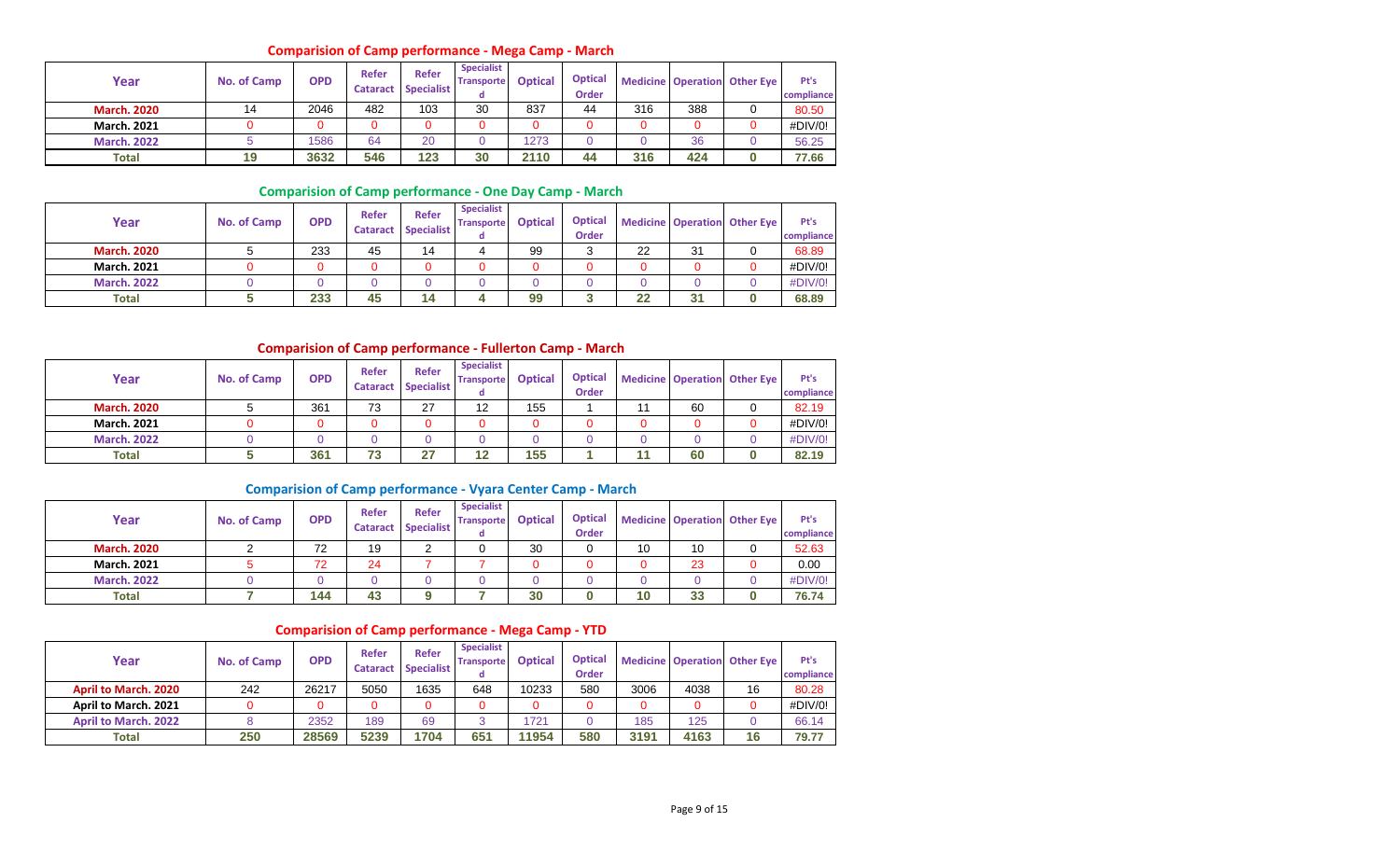#### **Comparision of Camp performance - Mega Camp - March**

| Year               | No. of Camp | <b>OPD</b> | Refer<br><b>Cataract</b> | Refer<br><b>Specialist</b> | <b>Specialist</b><br><b>Transporte</b> | <b>Optical</b> | <b>Optical</b><br><b>Order</b> |     |     | <b>Medicine Operation Other Eye</b> | Pt's<br>compliance |
|--------------------|-------------|------------|--------------------------|----------------------------|----------------------------------------|----------------|--------------------------------|-----|-----|-------------------------------------|--------------------|
| <b>March. 2020</b> | 14          | 2046       | 482                      | 103                        | 30                                     | 837            | 44                             | 316 | 388 |                                     | 80.50              |
| <b>March. 2021</b> |             |            |                          | 0                          |                                        |                |                                |     |     |                                     | #DIV/0!            |
| <b>March, 2022</b> |             | 1586       | 64                       | 20                         |                                        | 1273           |                                |     | 36  |                                     | 56.25              |
| <b>Total</b>       | 19          | 3632       | 546                      | 123                        | 30                                     | 2110           | 44                             | 316 | 424 |                                     | 77.66              |

### **Comparision of Camp performance - One Day Camp - March**

| Year               | No. of Camp | <b>OPD</b> | Refer<br><b>Cataract</b> | <b>Refer</b><br><b>Specialist</b> | <b>Specialist</b><br><b>Transporte</b><br>α | <b>Optical</b> | <b>Optical</b><br><b>Order</b> |    |    | <b>Medicine Operation Other Eye</b> | Pt's<br>compliance |
|--------------------|-------------|------------|--------------------------|-----------------------------------|---------------------------------------------|----------------|--------------------------------|----|----|-------------------------------------|--------------------|
| <b>March. 2020</b> |             | 233        | 45                       | 14                                |                                             | 99             |                                | 22 | 31 |                                     | 68.89              |
| <b>March. 2021</b> |             | 0          |                          |                                   |                                             |                |                                |    |    |                                     | #DIV/0!            |
| <b>March, 2022</b> |             |            |                          |                                   |                                             |                |                                |    |    |                                     | #DIV/0!            |
| <b>Total</b>       |             | 233        | 45                       | 14                                |                                             | 99             |                                | 22 | 31 |                                     | 68.89              |

## **Comparision of Camp performance - Fullerton Camp - March**

| Year               | <b>No. of Camp</b> | <b>OPD</b> | Refer<br><b>Cataract</b> | <b>Refer</b><br><b>Specialist</b> | <b>Specialist</b><br><b>Transporte</b><br>α | <b>Optical</b> | <b>Optical</b><br><b>Order</b> |    | <b>Medicine Operation Other Eye</b> | Pt's<br>compliance |
|--------------------|--------------------|------------|--------------------------|-----------------------------------|---------------------------------------------|----------------|--------------------------------|----|-------------------------------------|--------------------|
| <b>March. 2020</b> |                    | 361        | 73                       | 27                                | 12                                          | 155            |                                | 60 |                                     | 82.19              |
| <b>March. 2021</b> |                    | 0          |                          |                                   |                                             |                |                                |    |                                     | #DIV/0!            |
| <b>March, 2022</b> |                    |            |                          |                                   |                                             |                |                                |    |                                     | #DIV/0!            |
| <b>Total</b>       |                    | 361        | 73                       | 27                                | 12                                          | 155            |                                | 60 |                                     | 82.19              |

## **Comparision of Camp performance - Vyara Center Camp - March**

| Year               | No. of Camp | <b>OPD</b> | Refer<br><b>Cataract</b> | <b>Refer</b><br><b>Specialist</b> | <b>Specialist</b><br><b>Transporte</b><br>α | <b>Optical</b> | <b>Optical</b><br><b>Order</b> |    | <b>Medicine Operation</b> | <b>Other Eye</b> | Pt's<br>compliance |
|--------------------|-------------|------------|--------------------------|-----------------------------------|---------------------------------------------|----------------|--------------------------------|----|---------------------------|------------------|--------------------|
| <b>March. 2020</b> |             | 72         | 19                       |                                   |                                             | 30             |                                | 10 | 10                        |                  | 52.63              |
| <b>March. 2021</b> |             | 72         | 24                       |                                   |                                             |                |                                |    | 23                        |                  | 0.00               |
| <b>March, 2022</b> |             |            |                          |                                   |                                             |                |                                |    |                           |                  | #DIV/0!            |
| Total              |             | 144        | 43                       |                                   |                                             | 30             |                                | 10 | 33                        |                  | 76.74              |

## **Comparision of Camp performance - Mega Camp - YTD**

| Year                        | No. of Camp | <b>OPD</b> | <b>Refer</b> | <b>Refer</b><br>Cataract Specialist | <b>Specialist</b><br><b>Transporte</b> | <b>Optical</b> | <b>Optical</b><br><b>Order</b> |      |      | <b>Medicine Operation Other Eye</b> | Pt's<br>compliance |
|-----------------------------|-------------|------------|--------------|-------------------------------------|----------------------------------------|----------------|--------------------------------|------|------|-------------------------------------|--------------------|
| <b>April to March, 2020</b> | 242         | 26217      | 5050         | 1635                                | 648                                    | 10233          | 580                            | 3006 | 4038 | 16                                  | 80.28              |
| April to March. 2021        |             | 0          |              |                                     |                                        |                |                                |      |      |                                     | #DIV/0!            |
| <b>April to March, 2022</b> |             | 2352       | 189          | 69                                  |                                        | 1721           |                                | 185  | 125  |                                     | 66.14              |
| Total                       | 250         | 28569      | 5239         | 1704                                | 651                                    | 11954          | 580                            | 3191 | 4163 | 16                                  | 79.77              |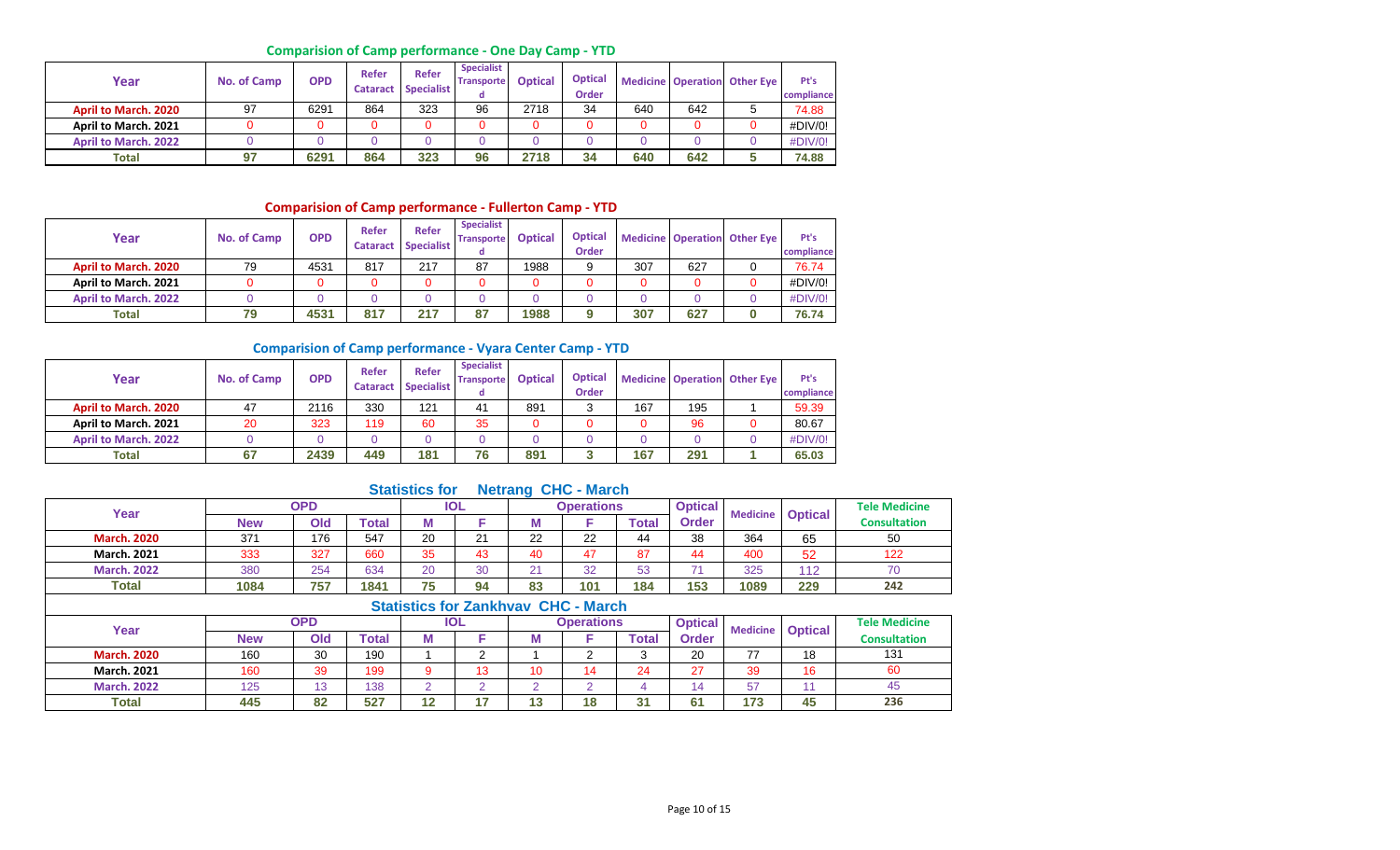## **Comparision of Camp performance - One Day Camp - YTD**

| Year                        | No. of Camp | <b>OPD</b> | Refer<br><b>Cataract</b> | <b>Refer</b><br><b>Specialist</b> | <b>Specialist</b><br><b>Transporte</b> | <b>Optical</b> | <b>Optical</b><br><b>Order</b> |     |     | <b>Medicine Operation Other Eye</b> | Pt's<br>compliance |
|-----------------------------|-------------|------------|--------------------------|-----------------------------------|----------------------------------------|----------------|--------------------------------|-----|-----|-------------------------------------|--------------------|
| <b>April to March, 2020</b> | 97          | 6291       | 864                      | 323                               | 96                                     | 2718           | 34                             | 640 | 642 |                                     | 74.88              |
| April to March. 2021        |             | 0          |                          |                                   |                                        |                |                                |     |     |                                     | #DIV/0!            |
| <b>April to March, 2022</b> |             |            |                          |                                   |                                        |                |                                |     |     |                                     | #DIV/0!            |
| <b>Total</b>                | 97          | 6291       | 864                      | 323                               | 96                                     | 2718           | 34                             | 640 | 642 |                                     | 74.88              |

## **Comparision of Camp performance - Fullerton Camp - YTD**

| Year                        | No. of Camp | <b>OPD</b> | Refer<br><b>Cataract</b> | <b>Refer</b><br><b>Specialist</b> | <b>Specialist</b><br><b>Transporte</b> | <b>Optical</b> | <b>Optical</b><br>Order |     |     | <b>Medicine Operation Other Eye</b> | Pt's<br>compliance |
|-----------------------------|-------------|------------|--------------------------|-----------------------------------|----------------------------------------|----------------|-------------------------|-----|-----|-------------------------------------|--------------------|
| <b>April to March, 2020</b> | 79          | 4531       | 817                      | 217                               | 87                                     | 1988           |                         | 307 | 627 |                                     | 76.74              |
| April to March. 2021        |             |            |                          |                                   |                                        |                |                         |     |     |                                     | #DIV/0!            |
| <b>April to March, 2022</b> |             |            |                          |                                   |                                        |                |                         |     |     |                                     | #DIV/0!            |
| <b>Total</b>                | 79          | 4531       | 817                      | 217                               | 87                                     | 1988           |                         | 307 | 627 |                                     | 76.74              |

#### **Comparision of Camp performance - Vyara Center Camp - YTD**

| Year                        | No. of Camp | <b>OPD</b> | Refer<br><b>Cataract</b> | <b>Refer</b><br><b>Specialist</b> | <b>Specialist</b><br><b>Transporte</b><br>α | <b>Optical</b> | <b>Optical</b><br><b>Order</b> |     |     | <b>Medicine Operation Other Eye</b> | Pt's<br>compliance |
|-----------------------------|-------------|------------|--------------------------|-----------------------------------|---------------------------------------------|----------------|--------------------------------|-----|-----|-------------------------------------|--------------------|
| <b>April to March, 2020</b> | 47          | 2116       | 330                      | 121                               | 41                                          | 891            |                                | 167 | 195 |                                     | 59.39              |
| April to March. 2021        | 20          | 323        | 119                      | 60                                | 35                                          |                |                                |     | 96  |                                     | 80.67              |
| <b>April to March. 2022</b> |             |            |                          |                                   |                                             |                |                                |     |     |                                     | #DIV/0!            |
| <b>Total</b>                | 67          | 2439       | 449                      | 181                               | 76                                          | 891            |                                | 167 | 291 |                                     | 65.03              |

## **Statistics for Netrang CHC - March**

| Year               |            | <b>OPD</b> |       |    | <b>IOL</b> |                                     | <b>Operations</b> |              | <b>Optical</b> | <b>Medicine</b> | <b>Optical</b> | <b>Tele Medicine</b> |
|--------------------|------------|------------|-------|----|------------|-------------------------------------|-------------------|--------------|----------------|-----------------|----------------|----------------------|
|                    | <b>New</b> | Old        | `otal | М  |            |                                     |                   | <b>Total</b> | <b>Order</b>   |                 |                | <b>Consultation</b>  |
| <b>March. 2020</b> | 371        | 176        | 547   | 20 | 21         | 22                                  | 22                | 44           | 38             | 364             | 65             | 50                   |
| <b>March. 2021</b> | 333        | 327        | 660   | 35 | 43         | 40                                  | 47                | 87           | 44             | 400             | 52             | 122                  |
| <b>March, 2022</b> | 380        | 254        | 634   | 20 | 30         | 21                                  | 32                | 53           |                | 325             | 112            | 70                   |
| Total              | 1084       | 757        | 1841  | 75 | 94         | 83                                  | 101               | 184          | 153            | 1089            | 229            | 242                  |
|                    |            |            |       |    |            | Statistics for Zankhyay CHC - March |                   |              |                |                 |                |                      |

|                    |            |     |              |        |            | <b>Statistics IVI LaffNIVAV UNU - MAIUI</b> |                   |             |                |     |                         |                      |
|--------------------|------------|-----|--------------|--------|------------|---------------------------------------------|-------------------|-------------|----------------|-----|-------------------------|----------------------|
| Year               |            | OPD |              |        | <b>IOL</b> |                                             | <b>Operations</b> |             | <b>Optical</b> |     | <b>Medicine Optical</b> | <b>Tele Medicine</b> |
|                    | <b>New</b> | Old | <b>Total</b> | - TV N |            | IМ                                          |                   | $\tau$ otal | Order          |     |                         | <b>Consultation</b>  |
| <b>March. 2020</b> | 160        | 30  | 190          |        |            |                                             |                   |             | 20             | 77  | 18                      | 131                  |
| <b>March. 2021</b> | 160        | 39  | 199          |        | 13         | 10                                          |                   | 24          | 27             | 39  | 16                      | 60                   |
| <b>March, 2022</b> | 125        | 12  | 138          |        |            |                                             |                   |             | 14             | 57  |                         | 45                   |
| Total              | 445        | 82  | 527          | 12     | 17         | 13                                          | <b>40</b>         | 31          | 61             | 173 | 45                      | 236                  |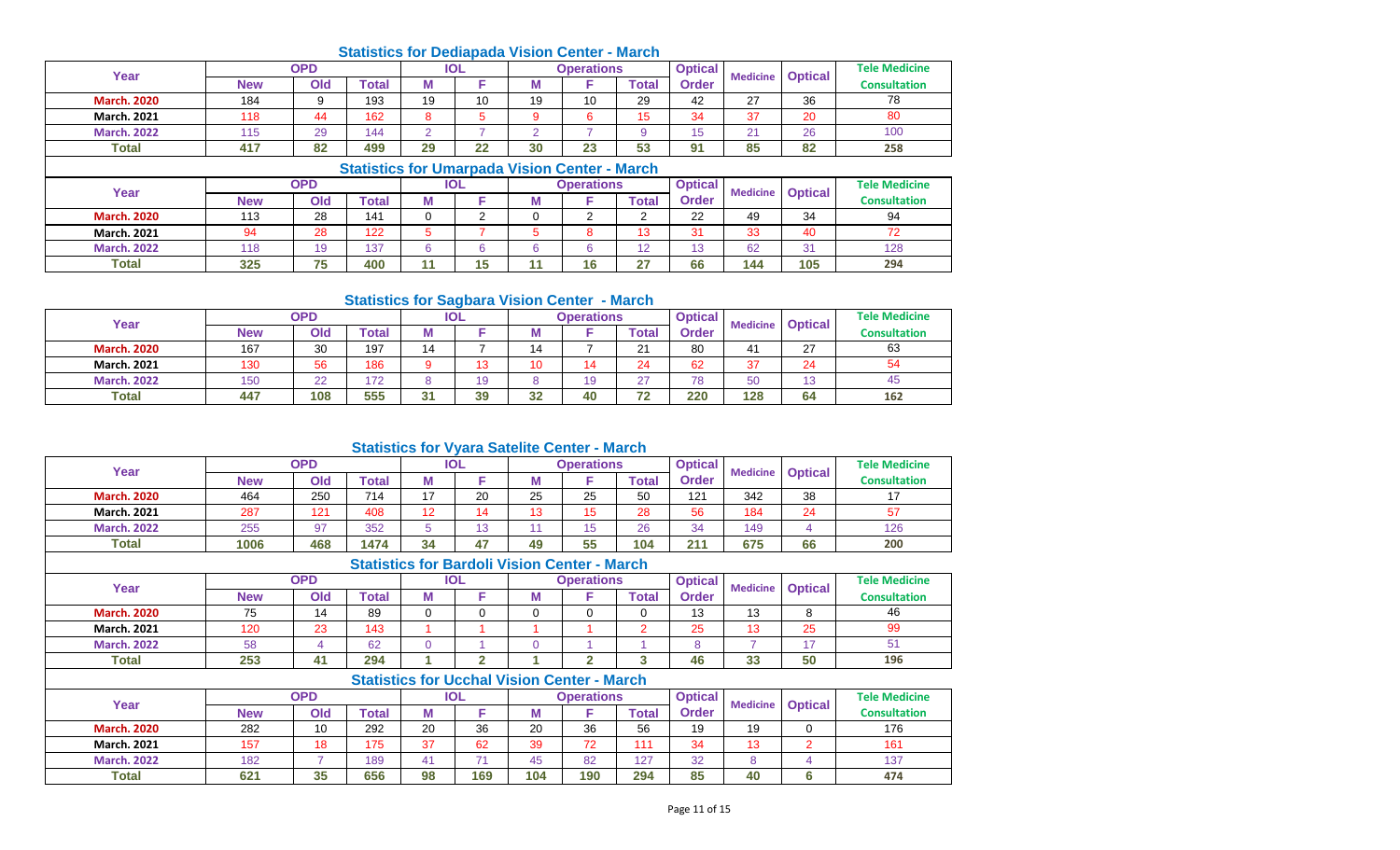# **Statistics for Dediapada Vision Center - March**

| Year               |            | <b>OPD</b> |                                              |    | <b>IOL</b> |    | Operations |       | <b>Optical</b> | <b>Medicine</b> |                | <b>Tele Medicine</b> |
|--------------------|------------|------------|----------------------------------------------|----|------------|----|------------|-------|----------------|-----------------|----------------|----------------------|
|                    | <b>New</b> | Old        | <b>Total</b>                                 | М  |            | М  |            | Total | Order          |                 | <b>Optical</b> | <b>Consultation</b>  |
| <b>March. 2020</b> | 184        |            | 193                                          | 19 | 10         | 19 | 10         | 29    | 42             | 27              | 36             | 78                   |
| <b>March. 2021</b> | 118        | 44         | 162                                          |    |            |    |            | 15    | 34             | 37              | 20             | 80                   |
| <b>March, 2022</b> | 115        | 29         | 144                                          |    |            |    |            |       | 15             | 21              | 26             | 100                  |
| <b>Total</b>       | 417        | 82         | 499                                          | 29 | 22         | 30 | 23         | 53    | 91             | 85              | 82             | 258                  |
|                    |            |            | Cipilating fax Umagnazia Violan Cantor Marah |    |            |    |            |       |                |                 |                |                      |

|                    |            |            |              |   |     |   | Statistics for Uniarbaga Vision Center - March |                          |                |                 |                |                      |
|--------------------|------------|------------|--------------|---|-----|---|------------------------------------------------|--------------------------|----------------|-----------------|----------------|----------------------|
| Year               |            | <b>OPD</b> |              |   | IOL |   | Operations                                     |                          | <b>Optical</b> | <b>Medicine</b> | <b>Optical</b> | <b>Tele Medicine</b> |
|                    | <b>New</b> | Old        | <b>Total</b> | М |     | М |                                                | Total                    | <b>Order</b>   |                 |                | <b>Consultation</b>  |
| <b>March. 2020</b> | 113        | 28         | 141          |   |     |   |                                                |                          | 22             | 49              | 34             | 94                   |
| <b>March. 2021</b> | 94         | 28         | 122          |   |     |   |                                                |                          | 31             | 33              | 40             |                      |
| <b>March, 2022</b> | 118        | 19         | 137          |   |     |   |                                                | $\overline{\phantom{a}}$ | 13             | 62              | 31             | 128                  |
| Total              | 325        | 75<br>ιυ   | 400          |   | 15  |   | 16                                             | דר                       | 66             | 144             | 105            | 294                  |

#### **Statistics for Sagbara Vision Center - March**

| Year               |            | OPD          |              |    | IOL |    | Operations |                  | <b>Optical</b> | <b>Medicine</b> | <b>Optical</b>    | <b>Tele Medicine</b> |
|--------------------|------------|--------------|--------------|----|-----|----|------------|------------------|----------------|-----------------|-------------------|----------------------|
|                    | <b>New</b> | Old          | <b>Total</b> | M  |     | М  |            | $\mathsf{Total}$ | Order          |                 |                   | <b>Consultation</b>  |
| <b>March. 2020</b> | 167        | 30           | 197          | 14 |     | 14 |            | $\Omega$         | 80             | 41              | 27                | 63                   |
| <b>March. 2021</b> | 130        | 56           | 186          |    | 13  | 10 |            | 24               | 62             | 37              | 24                | 54                   |
| <b>March, 2022</b> | 150        | $\sim$<br>∠∠ | 172          |    | 19  |    |            | 67               | 78             | 50              | $\sqrt{2}$<br>ں ا | 45                   |
| <b>Total</b>       | 447        | 108          | 555          | 31 | 39  | 32 | 40         | フつ               | 220            | 128             | 64                | 162                  |

#### **Statistics for Vyara Satelite Center - March**

| Year               |            | <b>OPD</b> |              |    | <b>IOL</b> |    | <b>Operations</b> |              | <b>Optical</b> | <b>Medicine</b> | <b>Optical</b> | <b>Tele Medicine</b> |
|--------------------|------------|------------|--------------|----|------------|----|-------------------|--------------|----------------|-----------------|----------------|----------------------|
|                    | <b>New</b> | Old        | <b>Total</b> | M  |            | M  |                   | <b>Total</b> | Order          |                 |                | <b>Consultation</b>  |
| <b>March. 2020</b> | 464        | 250        | 714          | 17 | 20         | 25 | 25                | 50           | 121            | 342             | 38             |                      |
| <b>March. 2021</b> | 287        | 121        | 408          | 19 |            | 13 | $\overline{ }$    | 28           | 56             | 184             | 24             | 57                   |
| <b>March. 2022</b> | 255        | 97         | 352          |    | 13         |    | $\overline{ }$    | 26           | 34             | 149             |                | 126                  |
| <b>Total</b>       | 1006       | 468        | 1474         | 34 | 45         | 49 | 55                | 104          | 211            | 675             | 66             | 200                  |

## **Statistics for Bardoli Vision Center - March**

| Year               |            | <b>OPD</b> |              |   | <b>IOL</b> |     | <b>Operations</b> |              | <b>Optical</b> | <b>Medicine</b> |                          | <b>Tele Medicine</b> |
|--------------------|------------|------------|--------------|---|------------|-----|-------------------|--------------|----------------|-----------------|--------------------------|----------------------|
|                    | <b>New</b> | Old        | <b>Total</b> | M |            | IVI |                   | <b>Total</b> | <b>Order</b>   |                 | <b>Optical</b>           | <b>Consultation</b>  |
| <b>March. 2020</b> | フド         | 14         | 89           |   |            |     |                   |              | 13             | 13              |                          | 46                   |
| <b>March. 2021</b> | 120        | 23         | 143          |   |            |     |                   |              | 25             | 13              | 25                       | 99                   |
| <b>March. 2022</b> | 58         |            | 62           |   |            |     |                   |              |                |                 | $\overline{\phantom{a}}$ |                      |
| <b>Total</b>       | 253        | 41         | 294          |   |            |     |                   |              | 46             | 33              | 50                       | 196                  |

|                    |            |            |       |    | <b>Statistics for Ucchal Vision Center - March</b> |     |            |       |                |                 |                |                      |
|--------------------|------------|------------|-------|----|----------------------------------------------------|-----|------------|-------|----------------|-----------------|----------------|----------------------|
| Year               |            | OPD        |       |    | <b>IOL</b>                                         |     | Operations |       | <b>Optical</b> | <b>Medicine</b> | <b>Optical</b> | <b>Tele Medicine</b> |
|                    | <b>New</b> | <b>Old</b> | Total | M  |                                                    |     |            | Total | <b>Order</b>   |                 |                | <b>Consultation</b>  |
| <b>March. 2020</b> | 282        | 10         | 292   | 20 | 36                                                 | 20  | 36         | 56    | 19             | 19              |                | 176                  |
| <b>March. 2021</b> | 157        | 18         | 175   | 27 | 62                                                 | 39  | 72         |       | 34             | 13              |                | 161                  |
| <b>March, 2022</b> | 182        |            | 189   |    |                                                    | 45  | 82         | 127   | 32             |                 |                | 137                  |
| <b>Total</b>       | 621        | 35         | 656   | 98 | 169                                                | 104 | 190        | 294   | 85             | 40              | 6              | 474                  |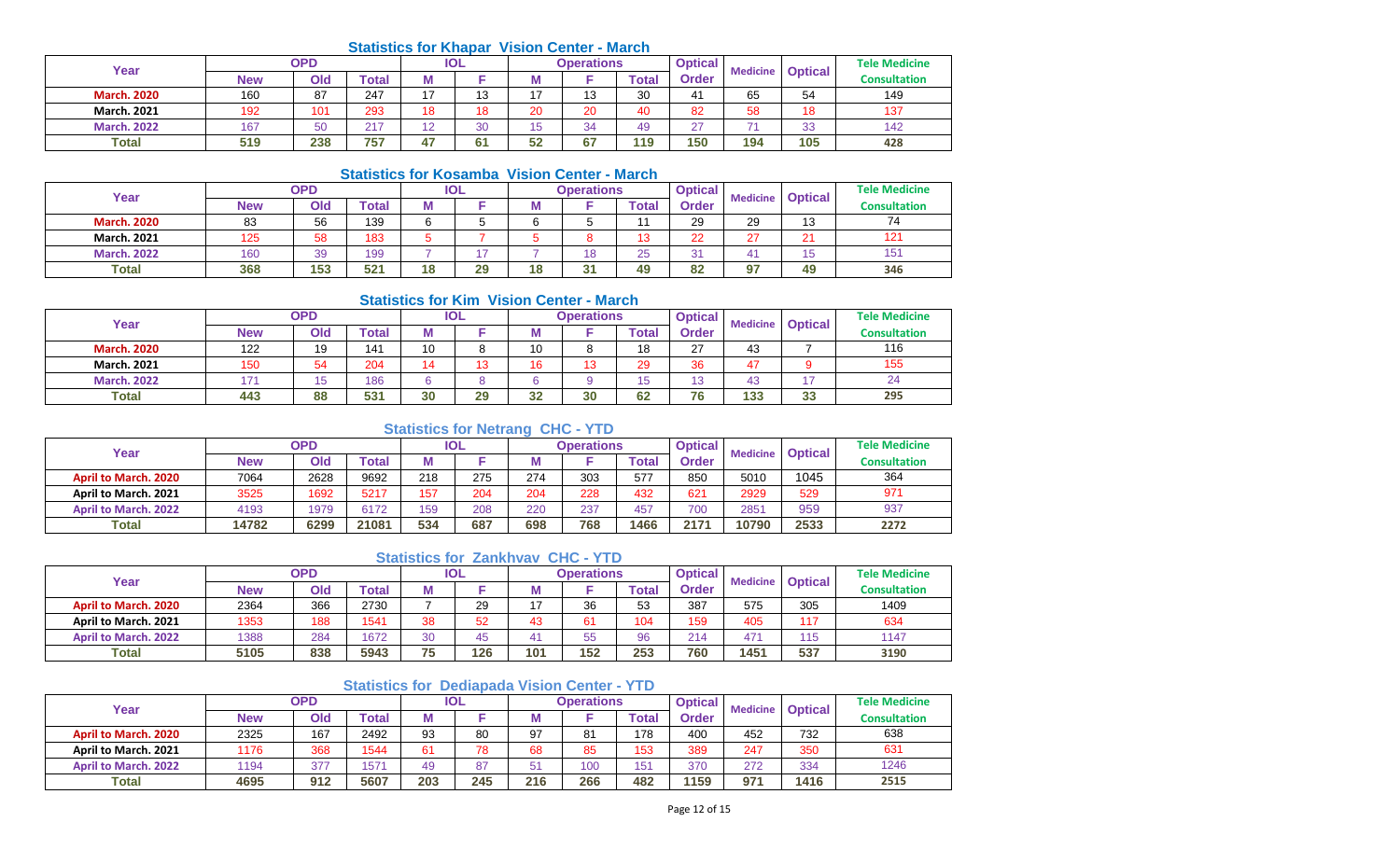#### **Statistics for Khapar Vision Center - March**

| Year               |            | OPD |       |    | <b>IOL</b> |                | <b>Operations</b> |       | <b>Optical</b> | <b>Medicine</b> | <b>Optical</b> | <b>Tele Medicine</b> |
|--------------------|------------|-----|-------|----|------------|----------------|-------------------|-------|----------------|-----------------|----------------|----------------------|
|                    | <b>New</b> | Old | `otal | w  |            | w              |                   | Total | Order          |                 |                | <b>Consultation</b>  |
| <b>March. 2020</b> | 160        | 87  | 247   | 47 | 13         |                | 13                | 30    | 41             | 65              | 54             | 149                  |
| <b>March. 2021</b> | 192        | 101 | 293   | 18 | 18         | $\Omega$<br>۷J | 20                | 40    | 82             | 58              | 18             | 137                  |
| <b>March. 2022</b> | 167        | 50  | 217   | 12 | 30         | ັ              | 34                | 49    | $\sim$         | - 4             | 33             | 142                  |
| <b>Total</b>       | 519        | 238 | 757   | 47 | 61         | 52             | 67                | 119   | 150            | 194             | 105            | 428                  |

#### **Statistics for Kosamba Vision Center - March**

|                    |            |            |       |    |            | <u>UMMONUS IVI INUJUHINU YIJIVII UUHIUI</u> |                   | waa vo                    |                |    |                         |                      |
|--------------------|------------|------------|-------|----|------------|---------------------------------------------|-------------------|---------------------------|----------------|----|-------------------------|----------------------|
| Year               |            | <b>OPD</b> |       |    | <b>IOL</b> |                                             | <b>Operations</b> |                           | <b>Optical</b> |    | <b>Medicine Optical</b> | <b>Tele Medicine</b> |
|                    | <b>New</b> | Old        | Total |    |            | w                                           |                   | $\mathop{\mathsf{Total}}$ | <b>Order</b>   |    |                         | <b>Consultation</b>  |
| <b>March. 2020</b> | 83         | 56         | 139   | 6  |            | ⌒                                           |                   |                           | 29             | 29 | 13                      | 74                   |
| <b>March. 2021</b> | 125        | 58         | 183   |    |            |                                             |                   | 13                        | 22             | 27 | つ1                      | 121                  |
| <b>March. 2022</b> | 160        | 39         | 199   |    |            |                                             | 18                | 25                        | 21             | 41 | 15                      | 151                  |
| <b>Total</b>       | 368        | 153        | 521   | 18 | 29         | 18                                          | 94                | 49                        | 82             | 97 | 49                      | 346                  |

#### **Statistics for Kim Vision Center - March**

| Year               |            | <b>OPD</b> |       |    | IOL |     | <b>Operations</b> |       | <b>Optical</b> | <b>Medicine</b> | <b>Optical</b> | <b>Tele Medicine</b> |
|--------------------|------------|------------|-------|----|-----|-----|-------------------|-------|----------------|-----------------|----------------|----------------------|
|                    | <b>New</b> | Old        | Total | М  |     | ΙVΙ |                   | Total | <b>Order</b>   |                 |                | <b>Consultation</b>  |
| <b>March. 2020</b> | 122        | 19         | 141   | 10 | 8   | 10  | Ω                 | 18    | 27             | 43              |                | 116                  |
| <b>March. 2021</b> | 150        | 54         | 204   |    | 13  | 16  | 12                | 29    | 36             | 47              |                | 155                  |
| <b>March. 2022</b> | 171        | 15         | 186   | R. | 8   |     |                   | ιIJ   | 13             | 43              |                | 24                   |
| <b>Total</b>       | 443        | 88         | 531   | 30 | 29  | 32  | 30                | 62    | 76             | 133             | 33             | 295                  |

## **Statistics for Netrang CHC - YTD**

| Year                        |            | OPD  |       | <b>IOL</b> |     |     | <b>Operations</b> |       | <b>Optical</b> | <b>Medicine</b> | <b>Optical</b> | <b>Tele Medicine</b> |
|-----------------------------|------------|------|-------|------------|-----|-----|-------------------|-------|----------------|-----------------|----------------|----------------------|
|                             | <b>New</b> | Old  | Total |            |     | IVI |                   | Γotal | <b>Order</b>   |                 |                | <b>Consultation</b>  |
| <b>April to March, 2020</b> | 7064       | 2628 | 9692  | 218        | 275 | 274 | 303               | 577   | 850            | 5010            | 1045           | 364                  |
| April to March, 2021        | 3525       | 1692 | 5217  | 157        | 204 | 204 | 228               | 432   | 621            | 2929            | 529            | 971                  |
| <b>April to March, 2022</b> | 4193       | 1979 | 6172  | 159        | 208 | 220 | 237               | 457   | 700            | 2851            | 959            | 937                  |
| Total                       | 14782      | 6299 | 21081 | 534        | 687 | 698 | 768               | 1466  | 2171           | 10790           | 2533           | 2272                 |

### **Statistics for Zankhvav CHC - YTD**

| Year                        | <b>OPD</b> |     | IOL   |    | Operations |     |          | <b>Optical</b> | <b>Medicine</b> | <b>Optical</b> | <b>Tele Medicine</b> |                     |
|-----------------------------|------------|-----|-------|----|------------|-----|----------|----------------|-----------------|----------------|----------------------|---------------------|
|                             | <b>New</b> | Old | Total | M  |            | M   |          | <b>Total</b>   | Order           |                |                      | <b>Consultation</b> |
| <b>April to March, 2020</b> | 2364       | 366 | 2730  |    | 29         | 17  | 36       | 53             | 387             | 575            | 305                  | 1409                |
| April to March. 2021        | 1353       | 188 | 1541  | 38 | 52         | 43  | $\sim$   | 104            | 159             | 405            | 117                  | 634                 |
| <b>April to March, 2022</b> | 1388       | 284 | 1672  | 30 | 45         | 41  | 55<br>vu | 96             | 214             | 471            | 115                  | 1147                |
| <b>Total</b>                | 5105       | 838 | 5943  | 75 | 126        | 101 | 152      | 253            | 760             | 1451           | 537                  | 3190                |

## **Statistics for Dediapada Vision Center - YTD**

| Year                        | <b>OPD</b> |     |       | <b>IOL</b> |     |                | <b>Operations</b> |       | <b>Optical</b> | <b>Medicine</b> | <b>Optical</b> | <b>Tele Medicine</b> |
|-----------------------------|------------|-----|-------|------------|-----|----------------|-------------------|-------|----------------|-----------------|----------------|----------------------|
|                             | <b>New</b> | Old | Total |            |     | M              |                   | `otal | <b>Order</b>   |                 |                | <b>Consultation</b>  |
| <b>April to March, 2020</b> | 2325       | 167 | 2492  | 93         | 80  | 97             | O <sub>4</sub>    | 178   | 400            | 452             | 732            | 638                  |
| April to March. 2021        | 1176       | 368 | 1544  | 61         | 78  | 68             | 85                | 153   | 389            | 247             | 350            | 631                  |
| <b>April to March, 2022</b> | 1194       | 377 | 571   | 49         | 87  | 5 <sup>1</sup> | 100               | 151   | 370            | 272             | 334            | 1246                 |
| <b>Total</b>                | 4695       | 912 | 5607  | 203        | 245 | 216            | 266               | 482   | 1159           | 971             | 1416           | 2515                 |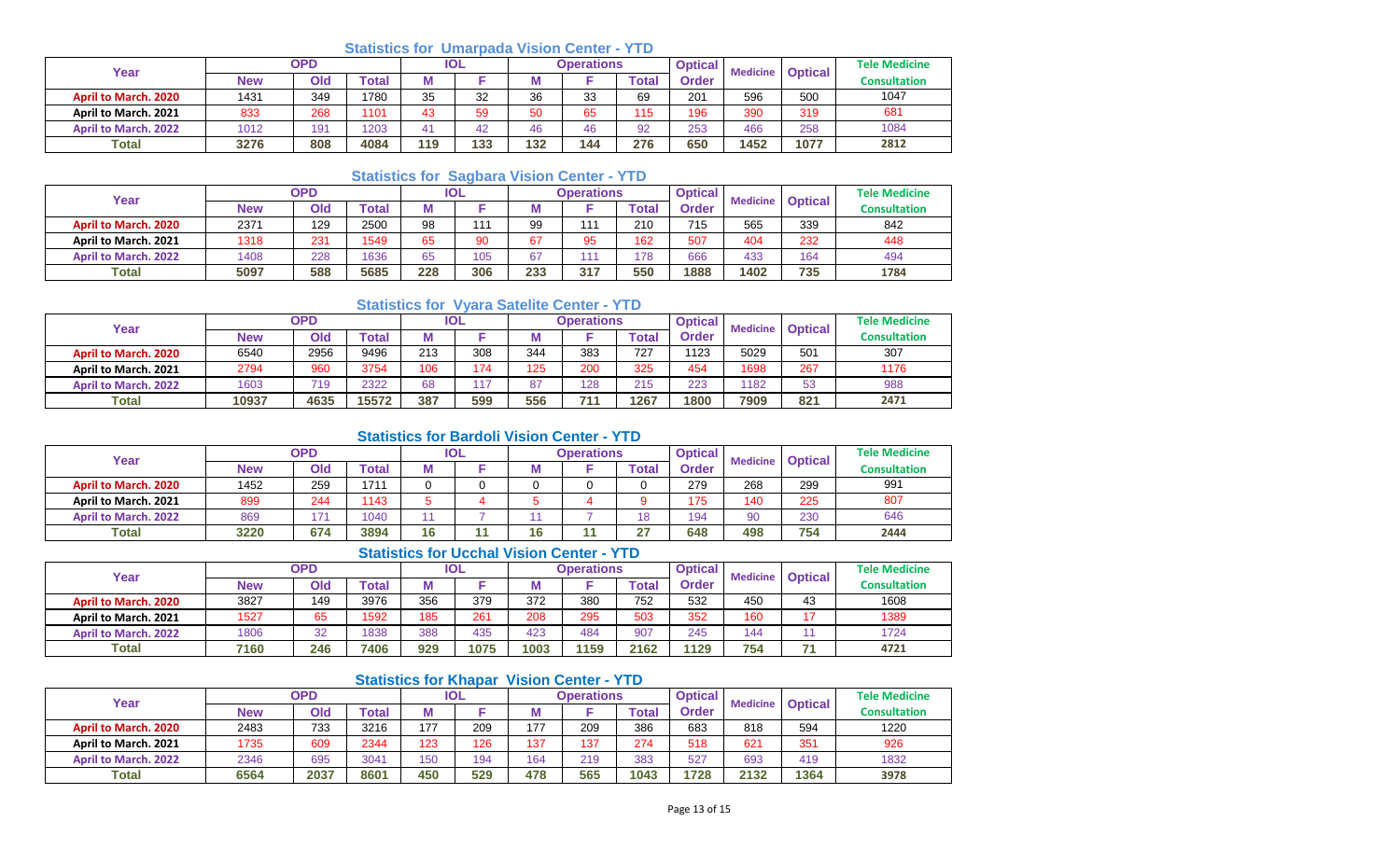## **Statistics for Umarpada Vision Center - YTD**

| Year                        | OPD        |     |       | <b>IOL</b> |     |     | Operations |              | <b>Optical</b> | <b>Medicine</b> | <b>Optical</b> | <b>Tele Medicine</b> |
|-----------------------------|------------|-----|-------|------------|-----|-----|------------|--------------|----------------|-----------------|----------------|----------------------|
|                             | <b>New</b> | Old | `otal | М          |     | IМ  |            | <b>Total</b> | Order          |                 |                | <b>Consultation</b>  |
| <b>April to March, 2020</b> | 1431       | 349 | 1780  | 35         | 32  | 36  | 33<br>ບບ   | 69           | 201            | 596             | 500            | 1047                 |
| April to March. 2021        | 833        | 268 | 1101  | 43         | 59  | 50  | 65         | 115          | 196            | 390             | 319            | 681                  |
| <b>April to March, 2022</b> | 1012       | 191 | 1203  |            | 42  | 46  | 46         | 92           | 253            | 466             | 258            | 1084                 |
| <b>Total</b>                | 3276       | 808 | 4084  | 119        | 133 | 132 | 144        | 276          | 650            | 1452            | 1077           | 2812                 |

## **Statistics for Sagbara Vision Center - YTD**

| Year                        | <b>OPD</b> |     |             | <b>IOL</b> |     |     | <b>Operations</b> |                           | <b>Optical</b> | <b>Medicine</b> | <b>Optical</b> | <b>Tele Medicine</b> |
|-----------------------------|------------|-----|-------------|------------|-----|-----|-------------------|---------------------------|----------------|-----------------|----------------|----------------------|
|                             | <b>New</b> | Old | $\sf total$ |            |     | M   |                   | $\mathop{\mathsf{Total}}$ | Order          |                 |                | <b>Consultation</b>  |
| <b>April to March, 2020</b> | 2371       | 129 | 2500        | 98         | 444 | 99  | 111               | 210                       | 715            | 565             | 339            | 842                  |
| April to March. 2021        | 1318       | 231 | 1549        | 65         | 90  | 67  | 95                | 162                       | 507            | 404             | 232            | 448                  |
| <b>April to March, 2022</b> | 1408       | 228 | 1636        | 65         | 105 | 67  |                   | 178                       | 666            | 433             | 164            | 494                  |
| Total                       | 5097       | 588 | 5685        | 228        | 306 | 233 | 317               | 550                       | 1888           | 1402            | 735            | 1784                 |

# **Statistics for Vyara Satelite Center - YTD**

| Year                        | <b>OPD</b> |      |              | <b>IOL</b> |     |     | <b>Operations</b> |       | <b>Optical</b> | <b>Medicine</b> | <b>Optical</b> | <b>Tele Medicine</b> |
|-----------------------------|------------|------|--------------|------------|-----|-----|-------------------|-------|----------------|-----------------|----------------|----------------------|
|                             | New        | Old  | <b>Total</b> |            |     |     |                   | Total | Order          |                 |                | <b>Consultation</b>  |
| <b>April to March, 2020</b> | 6540       | 2956 | 9496         | 213        | 308 | 344 | 383               | 727   | 123            | 5029            | 501            | 307                  |
| April to March. 2021        | 2794       | 960  | 3754         | 106        | 174 | 125 | 200               | 325   | 454            | 1698            | 267            | 1176                 |
| <b>April to March, 2022</b> | 1603       | 719  | 2322         | 68         | 117 | 87  | 128               | 215   | 223            | 1182            | 53             | 988                  |
| <b>Total</b>                | 10937      | 4635 | 15572        | 387        | 599 | 556 | 74.               | 1267  | 1800           | 7909            | 821            | 2471                 |

# **Statistics for Bardoli Vision Center - YTD**

| Year                        | OPD        |     | <b>IOL</b> |    |  | <b>Operations</b> |  | <b>Optical</b> | <b>Medicine</b> | <b>Optical</b> | <b>Tele Medicine</b> |                     |
|-----------------------------|------------|-----|------------|----|--|-------------------|--|----------------|-----------------|----------------|----------------------|---------------------|
|                             | <b>New</b> | Old | 'otal      | М  |  | IVІ               |  | <b>Total</b>   | Order           |                |                      | <b>Consultation</b> |
| <b>April to March, 2020</b> | 1452       | 259 | 1711       |    |  | C                 |  |                | 279             | 268            | 299                  | 991                 |
| April to March. 2021        | 899        | 244 | 1143       |    |  |                   |  |                | 175             | 140            | 225                  | 807                 |
| <b>April to March, 2022</b> | 869        | 171 | 1040       |    |  |                   |  | 18             | 194             | 90             | 230                  | 646                 |
| Total                       | 3220       | 674 | 3894       | 16 |  | 16                |  | $\sim$         | 648             | 498            | 754                  | 2444                |

# **Statistics for Ucchal Vision Center - YTD**

| Year                        | <b>OPD</b> |     | IOL   |     |      | <b>Operations</b> |      | <b>Optical</b> | <b>Medicine</b> | <b>Optical</b> | <b>Tele Medicine</b> |                     |
|-----------------------------|------------|-----|-------|-----|------|-------------------|------|----------------|-----------------|----------------|----------------------|---------------------|
|                             | New        | Old | Total | М   |      | . .               |      | $\tau$ otar    | Order           |                |                      | <b>Consultation</b> |
| <b>April to March, 2020</b> | 3827       | 149 | 3976  | 356 | 379  | 372               | 380  | 752            | 532             | 450            | 43                   | 1608                |
| April to March. 2021        | 1527       | 65  | 1592  | 185 | 261  | 208               | 295  | 503            | 352             | 160            | 4 <sub>7</sub>       | 1389                |
| <b>April to March, 2022</b> | 1806       | 32  | 1838  | 388 | 435  | 423               | 484  | 907            | 245             | 44             |                      | 1724                |
| <b>Total</b>                | 7160       | 246 | 7406  | 929 | 1075 | 1003              | 1159 | 2162           | 1129            | 754            | ラオ                   | 4721                |

## **Statistics for Khapar Vision Center - YTD**

| Year                        | OPD        |      |              | <b>IOL</b> |     |     | <b>Operations</b> |              | <b>Optical</b> | <b>Medicine</b> | <b>Optical</b> | <b>Tele Medicine</b> |
|-----------------------------|------------|------|--------------|------------|-----|-----|-------------------|--------------|----------------|-----------------|----------------|----------------------|
|                             | <b>New</b> | Old  | <b>Total</b> |            |     |     |                   | <b>Total</b> | Order          |                 |                | <b>Consultation</b>  |
| <b>April to March, 2020</b> | 2483       | 733  | 3216         | 177        | 209 | 177 | 209               | 386          | 683            | 818             | 594            | 1220                 |
| April to March. 2021        | 1735       | 609  | 2344         | 123        | 126 | 137 | 137               | 274          | 518            | 621             | 351            | 926                  |
| <b>April to March, 2022</b> | 2346       | 695  | 3041         | 150        | 194 | 164 | 219               | 383          | 527            | 693             | 419            | 1832                 |
| Total                       | 6564       | 2037 | 8601         | 450        | 529 | 478 | 565               | 1043         | 1728           | 2132            | 1364           | 3978                 |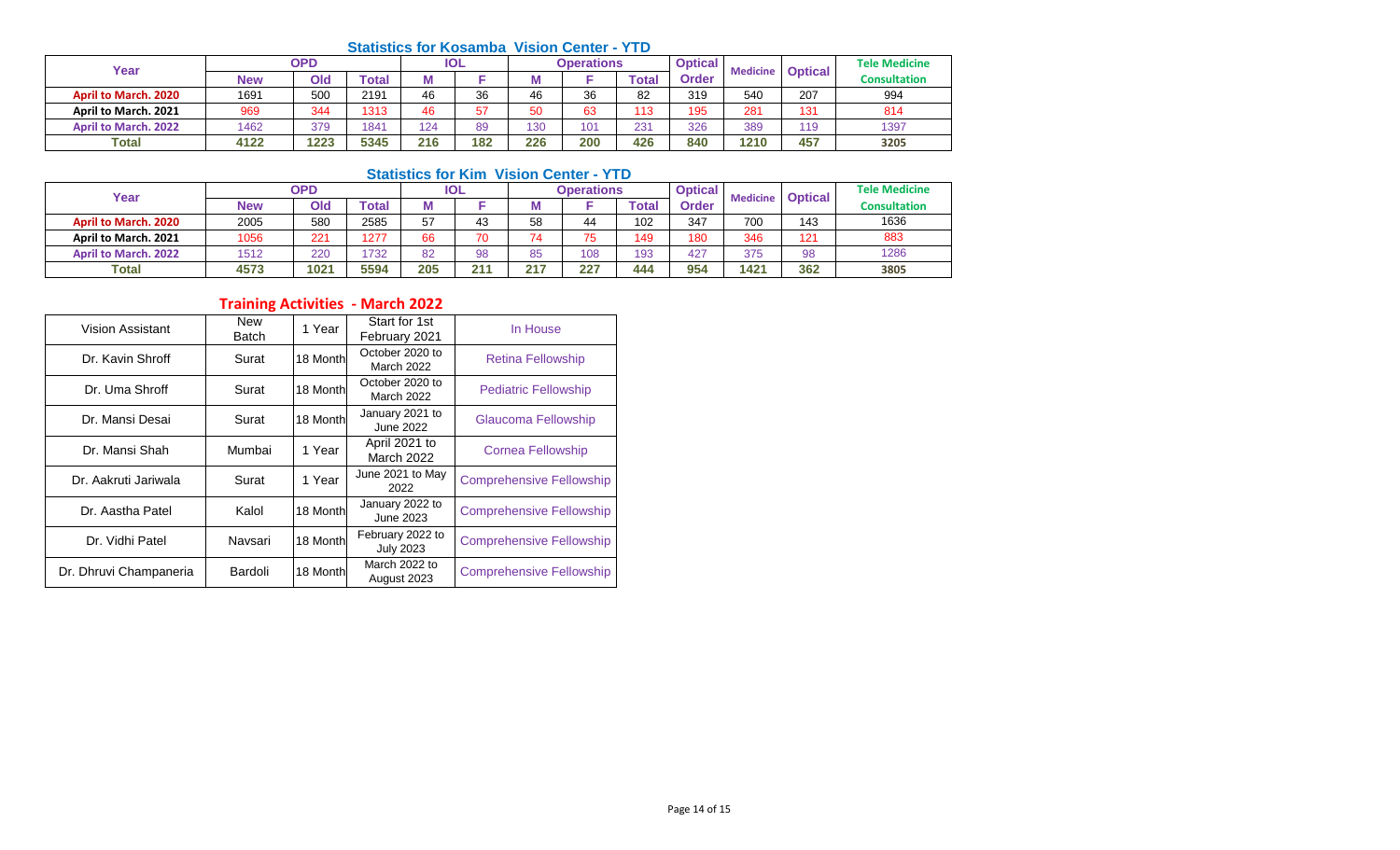#### **Statistics for Kosamba Vision Center - YTD**

| Year                        | <b>OPD</b> |      |              | IOL |     |     | Operations |       | <b>Optical</b> | <b>Medicine</b> | <b>Optical</b> | <b>Tele Medicine</b> |
|-----------------------------|------------|------|--------------|-----|-----|-----|------------|-------|----------------|-----------------|----------------|----------------------|
|                             | <b>New</b> | Old  | <b>Total</b> | М   |     |     |            | Total | <b>Order</b>   |                 |                | <b>Consultation</b>  |
| <b>April to March, 2020</b> | 1691       | 500  | 2191         | 46  | 36  | 46  | 36         | 82    | 319            | 540             | 207            | 994                  |
| April to March. 2021        | 969        | 344  | 1313         | 46  | 57  | 50  | 63         | 112   | 195            | 281             | 131            | 814                  |
| <b>April to March, 2022</b> | 1462       | 379  | 1841         | 124 | 89  | 130 | 101        | 231   | 326            | 389             | 119            | 1397                 |
| Total                       | 4122       | 1223 | 5345         | 216 | 182 | 226 | 200        | 426   | 840            | 1210            | 457            | 3205                 |

## **Statistics for Kim Vision Center - YTD**

| Year                        | <b>OPD</b> |      | <b>IOL</b> |     |     | Operations |     | <b>Optical</b> | <b>Medicine</b> | <b>Optical</b>   | <b>Tele Medicine</b> |                     |
|-----------------------------|------------|------|------------|-----|-----|------------|-----|----------------|-----------------|------------------|----------------------|---------------------|
|                             | <b>New</b> | Old  | Total      |     |     | IVI        |     | <b>Total</b>   | Order           |                  |                      | <b>Consultation</b> |
| <b>April to March, 2020</b> | 2005       | 580  | 2585       | 57  | 43  | 58         | 44  | 102            | 347             | 700              | 143                  | 1636                |
| April to March. 2021        | 1056       | 221  | 1277       | 66  | 70  | 74         | 75  | 149            | 180             | 346              | 121                  | 883                 |
| <b>April to March, 2022</b> | 1512       | 220  | 732        | 82  | 98  | 85         | 108 | 193            | 427             | 375              | 98                   | 1286                |
| Total                       | 4573       | 1021 | 5594       | 205 | 211 | 217        | 227 | 444            | 954             | 142 <sup>4</sup> | 362                  | 3805                |

# **Training Activities - March 2022**

| <b>Vision Assistant</b> | <b>New</b><br>Batch | 1 Year   | Start for 1st<br>February 2021       | In House                        |
|-------------------------|---------------------|----------|--------------------------------------|---------------------------------|
| Dr. Kavin Shroff        | Surat               | 18 Month | October 2020 to<br>March 2022        | <b>Retina Fellowship</b>        |
| Dr. Uma Shroff          | Surat               | 18 Month | October 2020 to<br>March 2022        | <b>Pediatric Fellowship</b>     |
| Dr. Mansi Desai         | Surat               | 18 Month | January 2021 to<br>June 2022         | Glaucoma Fellowship             |
| Dr. Mansi Shah          | Mumbai              | 1 Year   | April 2021 to<br>March 2022          | <b>Cornea Fellowship</b>        |
| Dr. Aakruti Jariwala    | Surat               | 1 Year   | June 2021 to May<br>2022             | <b>Comprehensive Fellowship</b> |
| Dr. Aastha Patel        | Kalol               | 18 Month | January 2022 to<br>June 2023         | <b>Comprehensive Fellowship</b> |
| Dr. Vidhi Patel         | Navsari             | 18 Month | February 2022 to<br><b>July 2023</b> | <b>Comprehensive Fellowship</b> |
| Dr. Dhruvi Champaneria  | Bardoli             | 18 Month | March 2022 to<br>August 2023         | <b>Comprehensive Fellowship</b> |